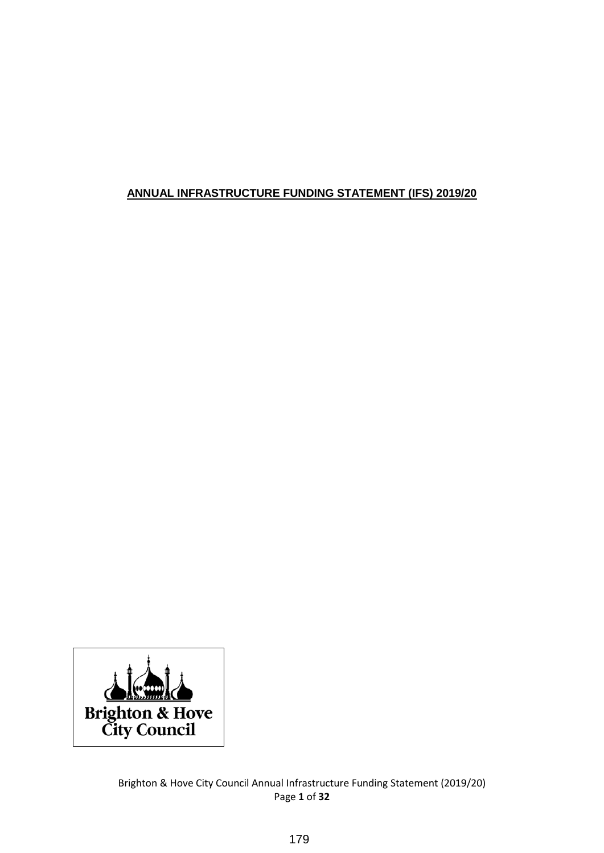# **ANNUAL INFRASTRUCTURE FUNDING STATEMENT (IFS) 2019/20**



Brighton & Hove City Council Annual Infrastructure Funding Statement (2019/20) Page **1** of **32**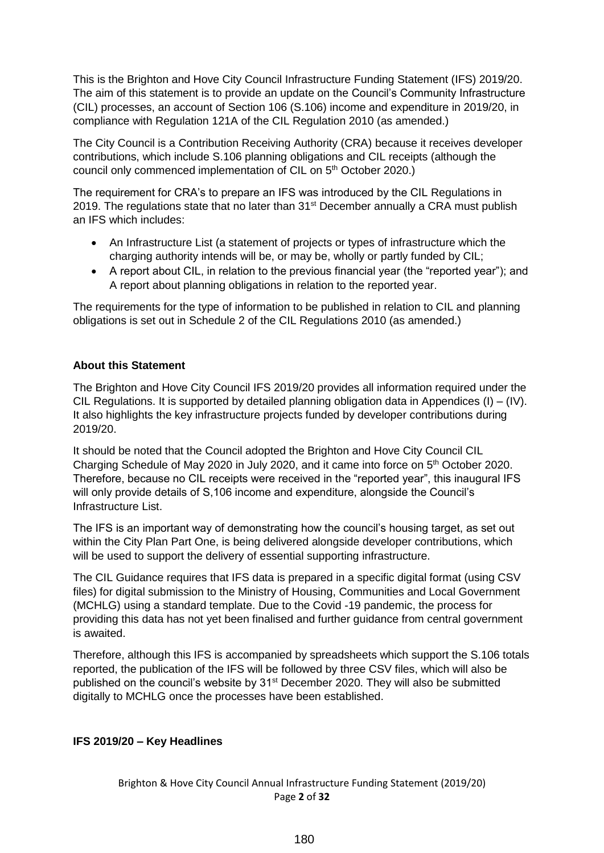This is the Brighton and Hove City Council Infrastructure Funding Statement (IFS) 2019/20. The aim of this statement is to provide an update on the Council's Community Infrastructure (CIL) processes, an account of Section 106 (S.106) income and expenditure in 2019/20, in compliance with Regulation 121A of the CIL Regulation 2010 (as amended.)

The City Council is a Contribution Receiving Authority (CRA) because it receives developer contributions, which include S.106 planning obligations and CIL receipts (although the council only commenced implementation of CIL on 5<sup>th</sup> October 2020.)

The requirement for CRA's to prepare an IFS was introduced by the CIL Regulations in 2019. The regulations state that no later than 31<sup>st</sup> December annually a CRA must publish an IFS which includes:

- An Infrastructure List (a statement of projects or types of infrastructure which the charging authority intends will be, or may be, wholly or partly funded by CIL;
- A report about CIL, in relation to the previous financial year (the "reported year"); and A report about planning obligations in relation to the reported year.

The requirements for the type of information to be published in relation to CIL and planning obligations is set out in Schedule 2 of the CIL Regulations 2010 (as amended.)

### **About this Statement**

The Brighton and Hove City Council IFS 2019/20 provides all information required under the CIL Regulations. It is supported by detailed planning obligation data in Appendices (I) – (IV). It also highlights the key infrastructure projects funded by developer contributions during 2019/20.

It should be noted that the Council adopted the Brighton and Hove City Council CIL Charging Schedule of May 2020 in July 2020, and it came into force on 5<sup>th</sup> October 2020. Therefore, because no CIL receipts were received in the "reported year", this inaugural IFS will only provide details of S,106 income and expenditure, alongside the Council's Infrastructure List.

The IFS is an important way of demonstrating how the council's housing target, as set out within the City Plan Part One, is being delivered alongside developer contributions, which will be used to support the delivery of essential supporting infrastructure.

The CIL Guidance requires that IFS data is prepared in a specific digital format (using CSV files) for digital submission to the Ministry of Housing, Communities and Local Government (MCHLG) using a standard template. Due to the Covid -19 pandemic, the process for providing this data has not yet been finalised and further guidance from central government is awaited.

Therefore, although this IFS is accompanied by spreadsheets which support the S.106 totals reported, the publication of the IFS will be followed by three CSV files, which will also be published on the council's website by 31<sup>st</sup> December 2020. They will also be submitted digitally to MCHLG once the processes have been established.

# **IFS 2019/20 – Key Headlines**

Brighton & Hove City Council Annual Infrastructure Funding Statement (2019/20) Page **2** of **32**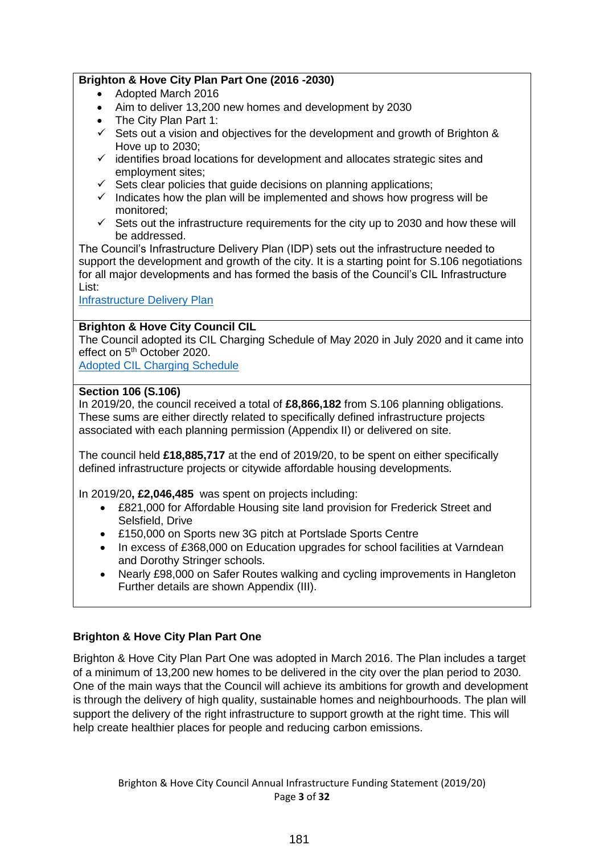### **Brighton & Hove City Plan Part One (2016 -2030)**

- Adopted March 2016
- Aim to deliver 13,200 new homes and development by 2030
- The City Plan Part 1:
- $\checkmark$  Sets out a vision and objectives for the development and growth of Brighton & Hove up to 2030;
- $\checkmark$  identifies broad locations for development and allocates strategic sites and employment sites;
- $\checkmark$  Sets clear policies that quide decisions on planning applications:
- $\checkmark$  Indicates how the plan will be implemented and shows how progress will be monitored;
- $\checkmark$  Sets out the infrastructure requirements for the city up to 2030 and how these will be addressed.

The Council's Infrastructure Delivery Plan (IDP) sets out the infrastructure needed to support the development and growth of the city. It is a starting point for S.106 negotiations for all major developments and has formed the basis of the Council's CIL Infrastructure List:

[Infrastructure Delivery Plan](https://www.brighton-hove.gov.uk/sites/default/files/migrated/article/inline/IDPupdate%20annex%202%20(jun%202017)_0.pdf)

### **Brighton & Hove City Council CIL**

The Council adopted its CIL Charging Schedule of May 2020 in July 2020 and it came into effect on 5<sup>th</sup> October 2020.

[Adopted CIL Charging Schedule](https://www.brighton-hove.gov.uk/sites/default/files/2020-09/BHCC%20CIL%20Charging%20Schedule%20May%202020.pdf)

### **Section 106 (S.106)**

In 2019/20, the council received a total of **£8,866,182** from S.106 planning obligations. These sums are either directly related to specifically defined infrastructure projects associated with each planning permission (Appendix II) or delivered on site.

The council held **£18,885,717** at the end of 2019/20, to be spent on either specifically defined infrastructure projects or citywide affordable housing developments.

In 2019/20**, £2,046,485** was spent on projects including:

- £821,000 for Affordable Housing site land provision for Frederick Street and Selsfield, Drive
- £150,000 on Sports new 3G pitch at Portslade Sports Centre
- In excess of £368,000 on Education upgrades for school facilities at Varndean and Dorothy Stringer schools.
- Nearly £98,000 on Safer Routes walking and cycling improvements in Hangleton Further details are shown Appendix (III).

# **Brighton & Hove City Plan Part One**

Brighton & Hove City Plan Part One was adopted in March 2016. The Plan includes a target of a minimum of 13,200 new homes to be delivered in the city over the plan period to 2030. One of the main ways that the Council will achieve its ambitions for growth and development is through the delivery of high quality, sustainable homes and neighbourhoods. The plan will support the delivery of the right infrastructure to support growth at the right time. This will help create healthier places for people and reducing carbon emissions.

Brighton & Hove City Council Annual Infrastructure Funding Statement (2019/20) Page **3** of **32**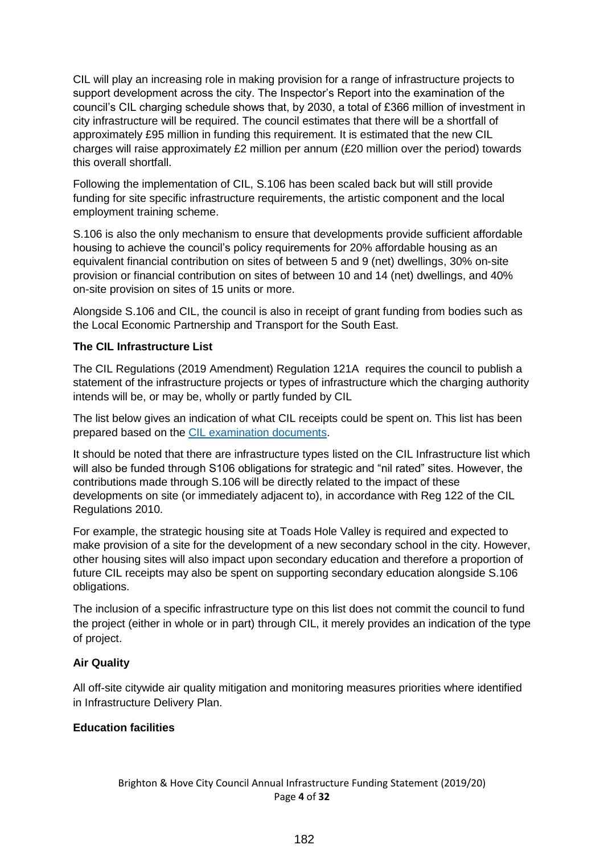CIL will play an increasing role in making provision for a range of infrastructure projects to support development across the city. The Inspector's Report into the examination of the council's CIL charging schedule shows that, by 2030, a total of £366 million of investment in city infrastructure will be required. The council estimates that there will be a shortfall of approximately £95 million in funding this requirement. It is estimated that the new CIL charges will raise approximately £2 million per annum (£20 million over the period) towards this overall shortfall.

Following the implementation of CIL, S.106 has been scaled back but will still provide funding for site specific infrastructure requirements, the artistic component and the local employment training scheme.

S.106 is also the only mechanism to ensure that developments provide sufficient affordable housing to achieve the council's policy requirements for 20% affordable housing as an equivalent financial contribution on sites of between 5 and 9 (net) dwellings, 30% on-site provision or financial contribution on sites of between 10 and 14 (net) dwellings, and 40% on-site provision on sites of 15 units or more.

Alongside S.106 and CIL, the council is also in receipt of grant funding from bodies such as the Local Economic Partnership and Transport for the South East.

### **The CIL Infrastructure List**

The CIL Regulations (2019 Amendment) Regulation 121A requires the council to publish a statement of the infrastructure projects or types of infrastructure which the charging authority intends will be, or may be, wholly or partly funded by CIL

The list below gives an indication of what CIL receipts could be spent on. This list has been prepared based on the [CIL examination documents.](https://www.brighton-hove.gov.uk/content/planning/planning-policy/cil-examination)

It should be noted that there are infrastructure types listed on the CIL Infrastructure list which will also be funded through S106 obligations for strategic and "nil rated" sites. However, the contributions made through S.106 will be directly related to the impact of these developments on site (or immediately adjacent to), in accordance with Reg 122 of the CIL Regulations 2010.

For example, the strategic housing site at Toads Hole Valley is required and expected to make provision of a site for the development of a new secondary school in the city. However, other housing sites will also impact upon secondary education and therefore a proportion of future CIL receipts may also be spent on supporting secondary education alongside S.106 obligations.

The inclusion of a specific infrastructure type on this list does not commit the council to fund the project (either in whole or in part) through CIL, it merely provides an indication of the type of project.

#### **Air Quality**

All off-site citywide air quality mitigation and monitoring measures priorities where identified in Infrastructure Delivery Plan.

### **Education facilities**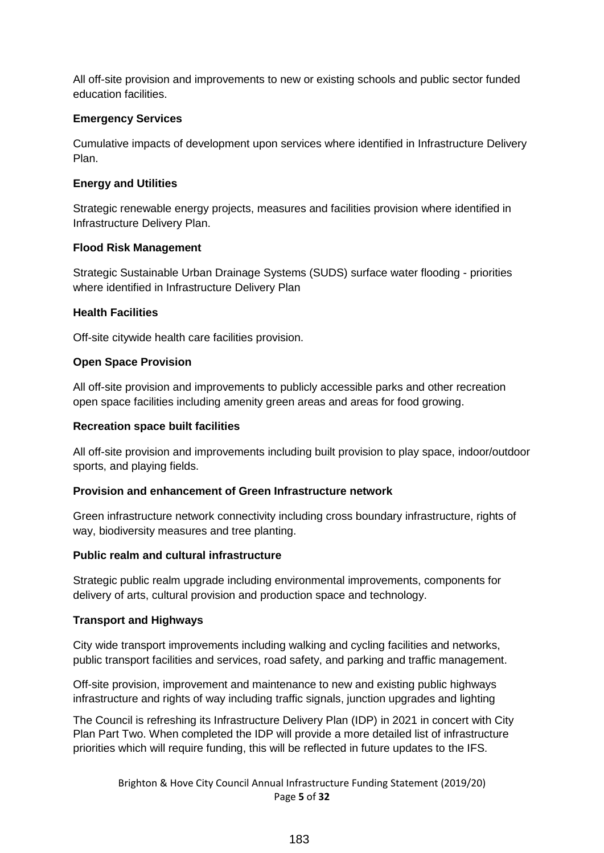All off-site provision and improvements to new or existing schools and public sector funded education facilities.

### **Emergency Services**

Cumulative impacts of development upon services where identified in Infrastructure Delivery Plan.

### **Energy and Utilities**

Strategic renewable energy projects, measures and facilities provision where identified in Infrastructure Delivery Plan.

### **Flood Risk Management**

Strategic Sustainable Urban Drainage Systems (SUDS) surface water flooding - priorities where identified in Infrastructure Delivery Plan

### **Health Facilities**

Off-site citywide health care facilities provision.

# **Open Space Provision**

All off-site provision and improvements to publicly accessible parks and other recreation open space facilities including amenity green areas and areas for food growing.

### **Recreation space built facilities**

All off-site provision and improvements including built provision to play space, indoor/outdoor sports, and playing fields.

#### **Provision and enhancement of Green Infrastructure network**

Green infrastructure network connectivity including cross boundary infrastructure, rights of way, biodiversity measures and tree planting.

#### **Public realm and cultural infrastructure**

Strategic public realm upgrade including environmental improvements, components for delivery of arts, cultural provision and production space and technology.

# **Transport and Highways**

City wide transport improvements including walking and cycling facilities and networks, public transport facilities and services, road safety, and parking and traffic management.

Off-site provision, improvement and maintenance to new and existing public highways infrastructure and rights of way including traffic signals, junction upgrades and lighting

The Council is refreshing its Infrastructure Delivery Plan (IDP) in 2021 in concert with City Plan Part Two. When completed the IDP will provide a more detailed list of infrastructure priorities which will require funding, this will be reflected in future updates to the IFS.

> Brighton & Hove City Council Annual Infrastructure Funding Statement (2019/20) Page **5** of **32**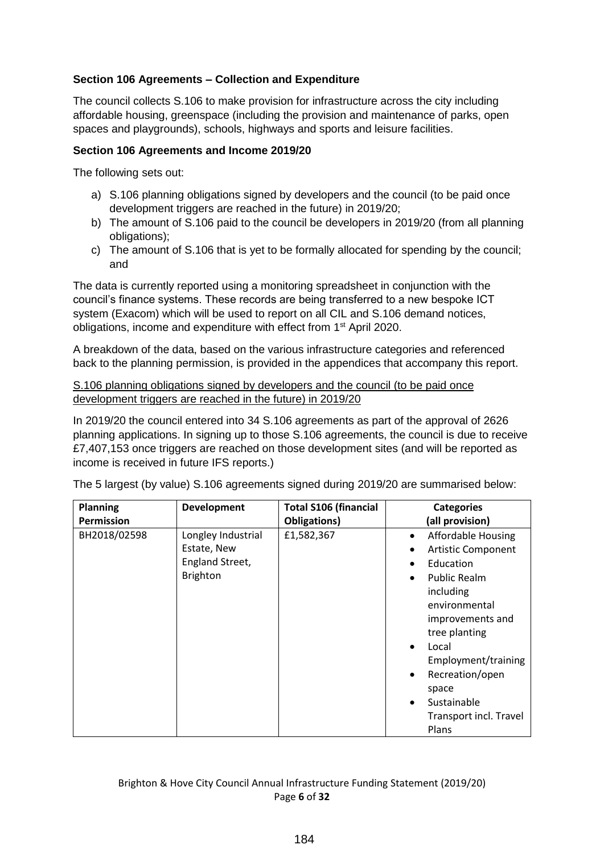# **Section 106 Agreements – Collection and Expenditure**

The council collects S.106 to make provision for infrastructure across the city including affordable housing, greenspace (including the provision and maintenance of parks, open spaces and playgrounds), schools, highways and sports and leisure facilities.

### **Section 106 Agreements and Income 2019/20**

The following sets out:

- a) S.106 planning obligations signed by developers and the council (to be paid once development triggers are reached in the future) in 2019/20;
- b) The amount of S.106 paid to the council be developers in 2019/20 (from all planning obligations);
- c) The amount of S.106 that is yet to be formally allocated for spending by the council; and

The data is currently reported using a monitoring spreadsheet in conjunction with the council's finance systems. These records are being transferred to a new bespoke ICT system (Exacom) which will be used to report on all CIL and S.106 demand notices, obligations, income and expenditure with effect from 1st April 2020.

A breakdown of the data, based on the various infrastructure categories and referenced back to the planning permission, is provided in the appendices that accompany this report.

#### S.106 planning obligations signed by developers and the council (to be paid once development triggers are reached in the future) in 2019/20

In 2019/20 the council entered into 34 S.106 agreements as part of the approval of 2626 planning applications. In signing up to those S.106 agreements, the council is due to receive £7,407,153 once triggers are reached on those development sites (and will be reported as income is received in future IFS reports.)

| <b>Planning</b>   | Development        | <b>Total S106 (financial</b> | <b>Categories</b>                      |
|-------------------|--------------------|------------------------------|----------------------------------------|
| <b>Permission</b> |                    | Obligations)                 | (all provision)                        |
| BH2018/02598      | Longley Industrial | £1,582,367                   | <b>Affordable Housing</b><br>$\bullet$ |
|                   | Estate, New        |                              | <b>Artistic Component</b>              |
|                   | England Street,    |                              | Education                              |
|                   | <b>Brighton</b>    |                              | <b>Public Realm</b><br>$\bullet$       |
|                   |                    |                              | including                              |
|                   |                    |                              | environmental                          |
|                   |                    |                              | improvements and                       |
|                   |                    |                              | tree planting                          |
|                   |                    |                              | Local<br>$\bullet$                     |
|                   |                    |                              | Employment/training                    |
|                   |                    |                              | Recreation/open<br>$\bullet$           |
|                   |                    |                              | space                                  |
|                   |                    |                              | Sustainable<br>$\bullet$               |
|                   |                    |                              | Transport incl. Travel                 |
|                   |                    |                              | Plans                                  |

The 5 largest (by value) S.106 agreements signed during 2019/20 are summarised below: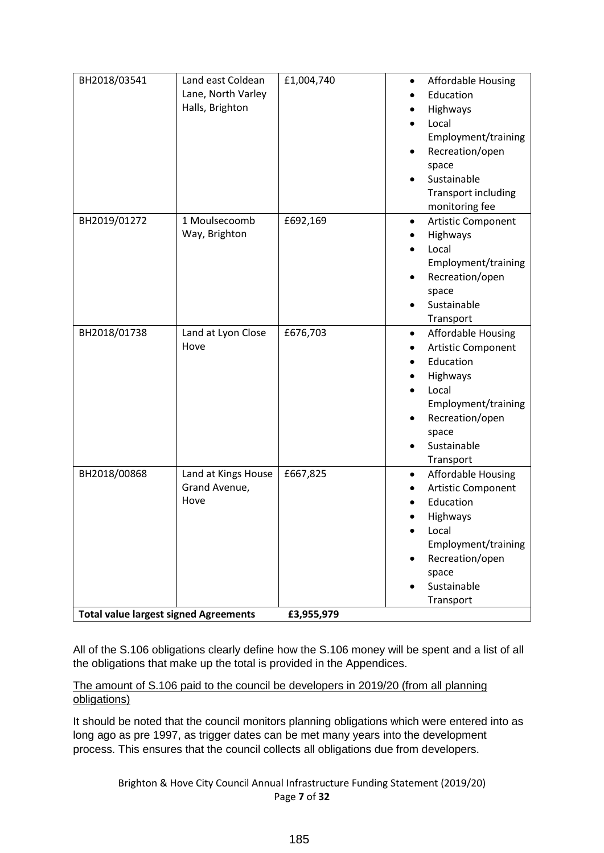| BH2018/03541                                                 | Land east Coldean<br>Lane, North Varley<br>Halls, Brighton | £1,004,740             | <b>Affordable Housing</b><br>Education<br>Highways<br>Local<br>Employment/training<br>Recreation/open<br>space<br>Sustainable<br>Transport including<br>monitoring fee                     |
|--------------------------------------------------------------|------------------------------------------------------------|------------------------|--------------------------------------------------------------------------------------------------------------------------------------------------------------------------------------------|
| BH2019/01272                                                 | 1 Moulsecoomb<br>Way, Brighton                             | £692,169               | Artistic Component<br>$\bullet$<br>Highways<br>Local<br>Employment/training<br>Recreation/open<br>space<br>Sustainable<br>Transport                                                        |
| BH2018/01738                                                 | Land at Lyon Close<br>Hove                                 | £676,703               | <b>Affordable Housing</b><br>٠<br>Artistic Component<br>Education<br>Highways<br>Local<br>Employment/training<br>Recreation/open<br>space<br>Sustainable<br>Transport                      |
| BH2018/00868<br><b>Total value largest signed Agreements</b> | Land at Kings House<br>Grand Avenue,<br>Hove               | £667,825<br>£3,955,979 | <b>Affordable Housing</b><br>$\bullet$<br>Artistic Component<br>Education<br>Highways<br>Local<br>$\bullet$<br>Employment/training<br>Recreation/open<br>space<br>Sustainable<br>Transport |

All of the S.106 obligations clearly define how the S.106 money will be spent and a list of all the obligations that make up the total is provided in the Appendices.

### The amount of S.106 paid to the council be developers in 2019/20 (from all planning obligations)

It should be noted that the council monitors planning obligations which were entered into as long ago as pre 1997, as trigger dates can be met many years into the development process. This ensures that the council collects all obligations due from developers.

Brighton & Hove City Council Annual Infrastructure Funding Statement (2019/20) Page **7** of **32**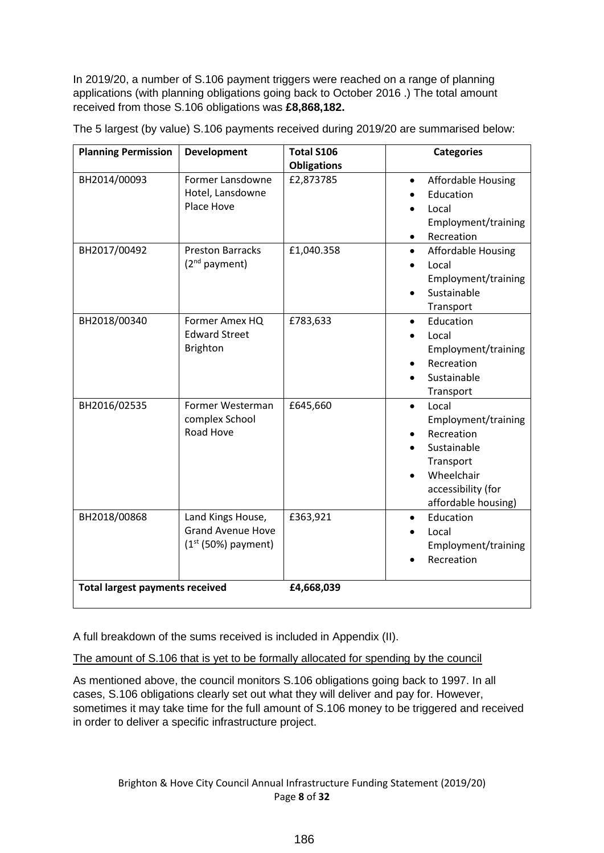In 2019/20, a number of S.106 payment triggers were reached on a range of planning applications (with planning obligations going back to October 2016 .) The total amount received from those S.106 obligations was **£8,868,182.** 

| <b>Planning Permission</b>             | <b>Development</b>                                                     | <b>Total S106</b>  | <b>Categories</b>                                                                                                                              |
|----------------------------------------|------------------------------------------------------------------------|--------------------|------------------------------------------------------------------------------------------------------------------------------------------------|
|                                        |                                                                        | <b>Obligations</b> |                                                                                                                                                |
| BH2014/00093                           | Former Lansdowne<br>Hotel, Lansdowne<br>Place Hove                     | £2,873785          | <b>Affordable Housing</b><br>$\bullet$<br>Education<br>Local<br>Employment/training<br>Recreation<br>$\bullet$                                 |
| BH2017/00492                           | <b>Preston Barracks</b><br>(2 <sup>nd</sup> payment)                   | £1,040.358         | <b>Affordable Housing</b><br>$\bullet$<br>Local<br>$\bullet$<br>Employment/training<br>Sustainable<br>Transport                                |
| BH2018/00340                           | Former Amex HQ<br><b>Edward Street</b><br><b>Brighton</b>              | £783,633           | Education<br>$\bullet$<br>Local<br>Employment/training<br>Recreation<br>Sustainable<br>Transport                                               |
| BH2016/02535                           | Former Westerman<br>complex School<br>Road Hove                        | £645,660           | Local<br>$\bullet$<br>Employment/training<br>Recreation<br>Sustainable<br>Transport<br>Wheelchair<br>accessibility (for<br>affordable housing) |
| BH2018/00868                           | Land Kings House,<br><b>Grand Avenue Hove</b><br>$(1st (50%)$ payment) | £363,921           | Education<br>$\bullet$<br>Local<br>Employment/training<br>Recreation                                                                           |
| <b>Total largest payments received</b> |                                                                        | £4,668,039         |                                                                                                                                                |

The 5 largest (by value) S.106 payments received during 2019/20 are summarised below:

A full breakdown of the sums received is included in Appendix (II).

The amount of S.106 that is yet to be formally allocated for spending by the council

As mentioned above, the council monitors S.106 obligations going back to 1997. In all cases, S.106 obligations clearly set out what they will deliver and pay for. However, sometimes it may take time for the full amount of S.106 money to be triggered and received in order to deliver a specific infrastructure project.

Brighton & Hove City Council Annual Infrastructure Funding Statement (2019/20) Page **8** of **32**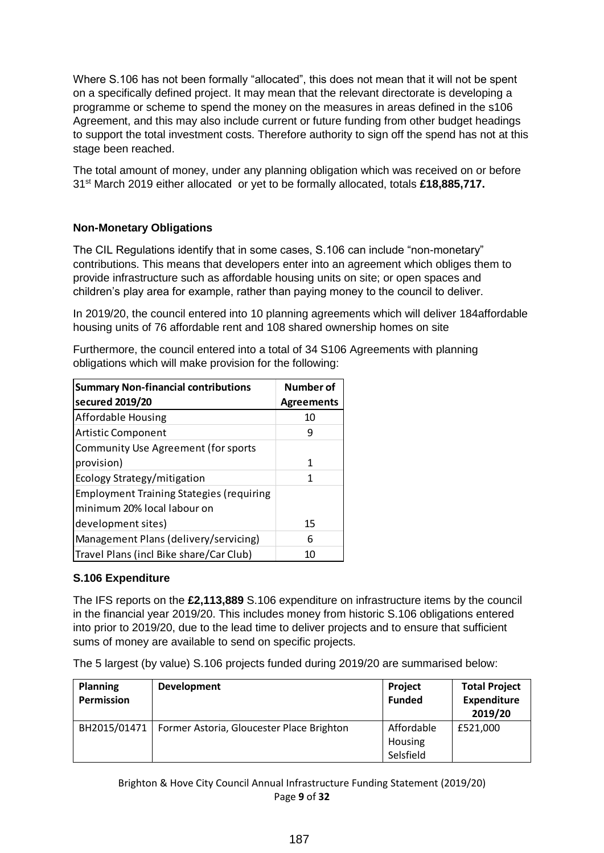Where S.106 has not been formally "allocated", this does not mean that it will not be spent on a specifically defined project. It may mean that the relevant directorate is developing a programme or scheme to spend the money on the measures in areas defined in the s106 Agreement, and this may also include current or future funding from other budget headings to support the total investment costs. Therefore authority to sign off the spend has not at this stage been reached.

The total amount of money, under any planning obligation which was received on or before 31st March 2019 either allocated or yet to be formally allocated, totals **£18,885,717.**

# **Non-Monetary Obligations**

The CIL Regulations identify that in some cases, S.106 can include "non-monetary" contributions. This means that developers enter into an agreement which obliges them to provide infrastructure such as affordable housing units on site; or open spaces and children's play area for example, rather than paying money to the council to deliver.

In 2019/20, the council entered into 10 planning agreements which will deliver 184affordable housing units of 76 affordable rent and 108 shared ownership homes on site

Furthermore, the council entered into a total of 34 S106 Agreements with planning obligations which will make provision for the following:

| <b>Summary Non-financial contributions</b>      | Number of         |
|-------------------------------------------------|-------------------|
| secured 2019/20                                 | <b>Agreements</b> |
| Affordable Housing                              | 10                |
| <b>Artistic Component</b>                       | g                 |
| <b>Community Use Agreement (for sports</b>      |                   |
| provision)                                      | 1                 |
| Ecology Strategy/mitigation                     | 1                 |
| <b>Employment Training Stategies (requiring</b> |                   |
| minimum 20% local labour on                     |                   |
| development sites)                              | 15                |
| Management Plans (delivery/servicing)           | 6                 |
| Travel Plans (incl Bike share/Car Club)         | 10                |

#### **S.106 Expenditure**

The IFS reports on the **£2,113,889** S.106 expenditure on infrastructure items by the council in the financial year 2019/20. This includes money from historic S.106 obligations entered into prior to 2019/20, due to the lead time to deliver projects and to ensure that sufficient sums of money are available to send on specific projects.

The 5 largest (by value) S.106 projects funded during 2019/20 are summarised below:

| <b>Planning</b><br>Permission | <b>Development</b>                        | Project<br><b>Funded</b>           | <b>Total Project</b><br><b>Expenditure</b><br>2019/20 |
|-------------------------------|-------------------------------------------|------------------------------------|-------------------------------------------------------|
| BH2015/01471                  | Former Astoria, Gloucester Place Brighton | Affordable<br>Housing<br>Selsfield | £521,000                                              |

Brighton & Hove City Council Annual Infrastructure Funding Statement (2019/20) Page **9** of **32**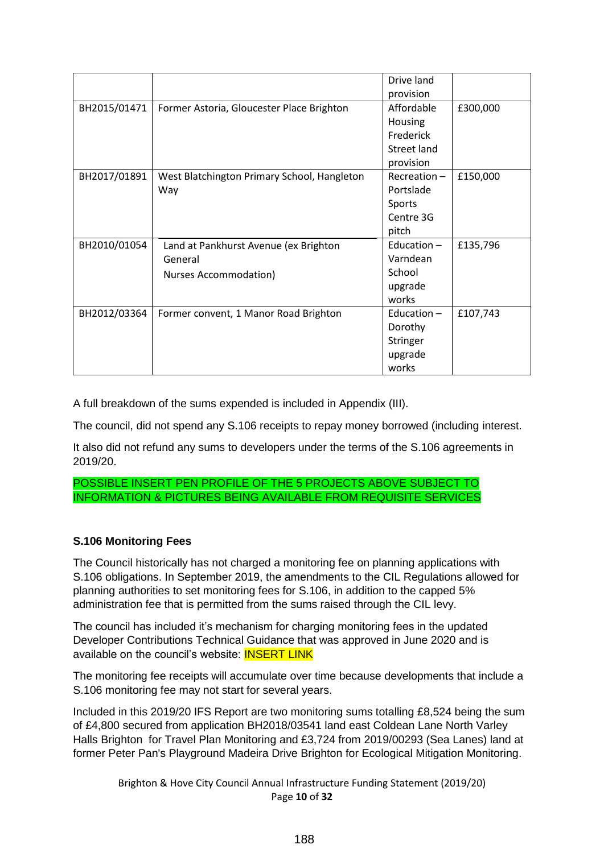|              |                                                                           | Drive land<br>provision                                        |          |
|--------------|---------------------------------------------------------------------------|----------------------------------------------------------------|----------|
| BH2015/01471 | Former Astoria, Gloucester Place Brighton                                 | Affordable<br>Housing<br>Frederick<br>Street land<br>provision | £300,000 |
| BH2017/01891 | West Blatchington Primary School, Hangleton<br>Way                        | Recreation-<br>Portslade<br>Sports<br>Centre 3G<br>pitch       | £150,000 |
| BH2010/01054 | Land at Pankhurst Avenue (ex Brighton<br>General<br>Nurses Accommodation) | Education $-$<br>Varndean<br>School<br>upgrade<br>works        | £135,796 |
| BH2012/03364 | Former convent, 1 Manor Road Brighton                                     | Education-<br>Dorothy<br>Stringer<br>upgrade<br>works          | £107,743 |

A full breakdown of the sums expended is included in Appendix (III).

The council, did not spend any S.106 receipts to repay money borrowed (including interest.

It also did not refund any sums to developers under the terms of the S.106 agreements in 2019/20.

POSSIBLE INSERT PEN PROFILE OF THE 5 PROJECTS ABOVE SUBJECT TO INFORMATION & PICTURES BEING AVAILABLE FROM REQUISITE SERVICES

# **S.106 Monitoring Fees**

The Council historically has not charged a monitoring fee on planning applications with S.106 obligations. In September 2019, the amendments to the CIL Regulations allowed for planning authorities to set monitoring fees for S.106, in addition to the capped 5% administration fee that is permitted from the sums raised through the CIL levy.

The council has included it's mechanism for charging monitoring fees in the updated Developer Contributions Technical Guidance that was approved in June 2020 and is available on the council's website: **INSERT LINK** 

The monitoring fee receipts will accumulate over time because developments that include a S.106 monitoring fee may not start for several years.

Included in this 2019/20 IFS Report are two monitoring sums totalling £8,524 being the sum of £4,800 secured from application BH2018/03541 land east Coldean Lane North Varley Halls Brighton for Travel Plan Monitoring and £3,724 from 2019/00293 (Sea Lanes) land at former Peter Pan's Playground Madeira Drive Brighton for Ecological Mitigation Monitoring.

Brighton & Hove City Council Annual Infrastructure Funding Statement (2019/20) Page **10** of **32**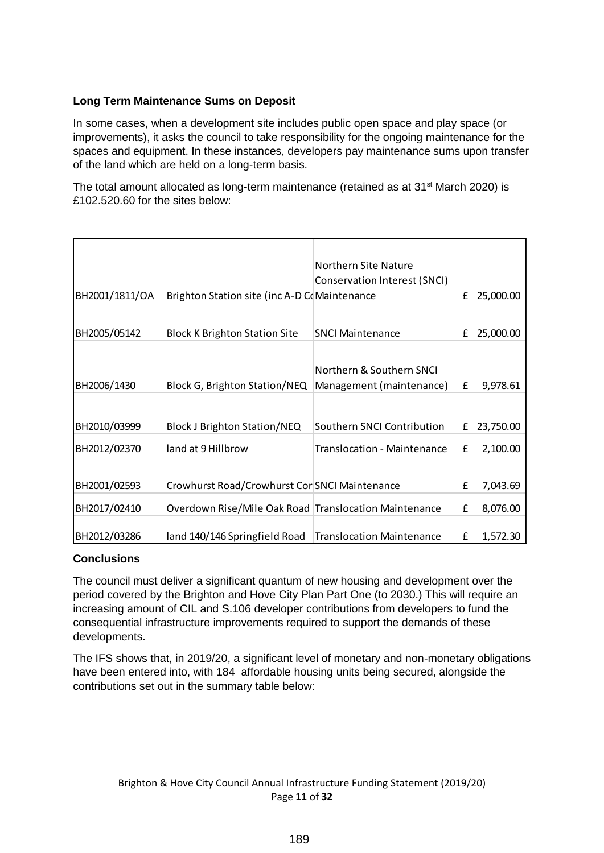# **Long Term Maintenance Sums on Deposit**

In some cases, when a development site includes public open space and play space (or improvements), it asks the council to take responsibility for the ongoing maintenance for the spaces and equipment. In these instances, developers pay maintenance sums upon transfer of the land which are held on a long-term basis.

The total amount allocated as long-term maintenance (retained as at  $31<sup>st</sup>$  March 2020) is £102.520.60 for the sites below:

| BH2001/1811/OA | Brighton Station site (inc A-D CoMaintenance          | Northern Site Nature<br>Conservation Interest (SNCI) | £ | 25,000.00 |
|----------------|-------------------------------------------------------|------------------------------------------------------|---|-----------|
|                |                                                       |                                                      |   |           |
| BH2005/05142   | <b>Block K Brighton Station Site</b>                  | <b>SNCI Maintenance</b>                              | £ | 25,000.00 |
| BH2006/1430    | Block G, Brighton Station/NEQ                         | Northern & Southern SNCI<br>Management (maintenance) | £ | 9,978.61  |
| BH2010/03999   | <b>Block J Brighton Station/NEQ</b>                   | Southern SNCI Contribution                           | £ | 23,750.00 |
|                |                                                       |                                                      |   |           |
| BH2012/02370   | land at 9 Hillbrow                                    | <b>Translocation - Maintenance</b>                   | £ | 2,100.00  |
| BH2001/02593   | Crowhurst Road/Crowhurst Cor SNCI Maintenance         |                                                      | £ | 7,043.69  |
| BH2017/02410   | Overdown Rise/Mile Oak Road Translocation Maintenance |                                                      | £ | 8,076.00  |
| BH2012/03286   | land 140/146 Springfield Road                         | <b>Translocation Maintenance</b>                     | £ | 1,572.30  |

# **Conclusions**

The council must deliver a significant quantum of new housing and development over the period covered by the Brighton and Hove City Plan Part One (to 2030.) This will require an increasing amount of CIL and S.106 developer contributions from developers to fund the consequential infrastructure improvements required to support the demands of these developments.

The IFS shows that, in 2019/20, a significant level of monetary and non-monetary obligations have been entered into, with 184 affordable housing units being secured, alongside the contributions set out in the summary table below: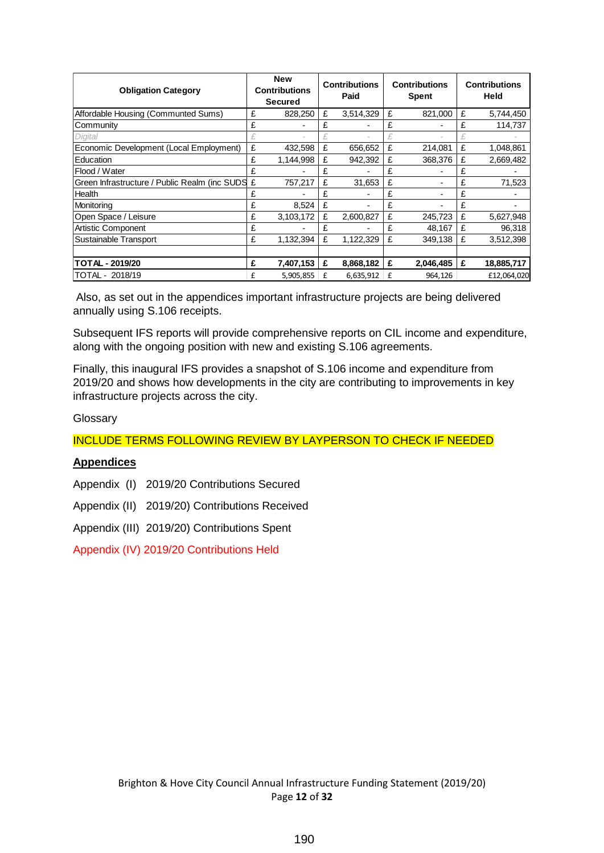| <b>Obligation Category</b>                      |   | <b>New</b><br><b>Contributions</b><br>Secured |   | <b>Contributions</b><br>Paid |   | <b>Contributions</b><br><b>Spent</b> |   | <b>Contributions</b><br><b>Held</b> |  |
|-------------------------------------------------|---|-----------------------------------------------|---|------------------------------|---|--------------------------------------|---|-------------------------------------|--|
| Affordable Housing (Communted Sums)             | £ | 828,250                                       | £ | 3,514,329                    | £ | 821,000                              | £ | 5,744,450                           |  |
| Community                                       | £ |                                               | £ |                              | £ |                                      | £ | 114,737                             |  |
| Digital                                         |   |                                               |   |                              |   |                                      |   |                                     |  |
| Economic Development (Local Employment)         | £ | 432,598                                       | £ | 656.652                      | £ | 214,081                              | £ | 1,048,861                           |  |
| Education                                       | £ | 1,144,998                                     | £ | 942,392                      | £ | 368,376                              | £ | 2,669,482                           |  |
| Flood / Water                                   | £ |                                               | £ |                              | £ |                                      | £ |                                     |  |
| Green Infrastructure / Public Realm (inc SUDS £ |   | 757,217                                       | £ | 31,653                       | £ |                                      | £ | 71,523                              |  |
| Health                                          | £ |                                               | £ |                              | £ |                                      | £ |                                     |  |
| Monitoring                                      | £ | 8,524                                         | £ | $\blacksquare$               | £ |                                      | £ |                                     |  |
| Open Space / Leisure                            | £ | 3,103,172                                     | £ | 2,600,827                    | £ | 245,723                              | £ | 5,627,948                           |  |
| <b>Artistic Component</b>                       | £ |                                               | £ |                              | £ | 48,167                               | £ | 96,318                              |  |
| Sustainable Transport                           | £ | 1,132,394                                     | £ | 1,122,329                    | £ | 349.138                              | £ | 3,512,398                           |  |
|                                                 |   |                                               |   |                              |   |                                      |   |                                     |  |
| <b>TOTAL - 2019/20</b>                          | £ | 7,407,153                                     | £ | 8,868,182                    | £ | 2,046,485                            | £ | 18,885,717                          |  |
| TOTAL - 2018/19                                 | £ | 5,905,855                                     | £ | 6,635,912                    | £ | 964,126                              |   | £12,064,020                         |  |

Also, as set out in the appendices important infrastructure projects are being delivered annually using S.106 receipts.

Subsequent IFS reports will provide comprehensive reports on CIL income and expenditure, along with the ongoing position with new and existing S.106 agreements.

Finally, this inaugural IFS provides a snapshot of S.106 income and expenditure from 2019/20 and shows how developments in the city are contributing to improvements in key infrastructure projects across the city.

#### Glossary

INCLUDE TERMS FOLLOWING REVIEW BY LAYPERSON TO CHECK IF NEEDED

#### **Appendices**

Appendix (I) 2019/20 Contributions Secured

Appendix (II) 2019/20) Contributions Received

Appendix (III) 2019/20) Contributions Spent

Appendix (IV) 2019/20 Contributions Held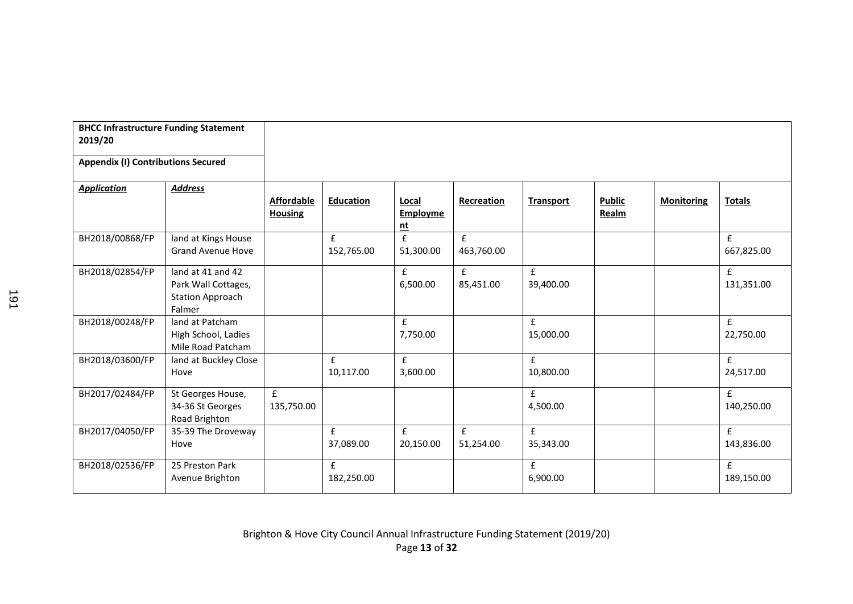| <b>BHCC Infrastructure Funding Statement</b><br>2019/20 |                                                                               |                                     |                                  |                                 |                                  |                                 |                        |                   |                            |
|---------------------------------------------------------|-------------------------------------------------------------------------------|-------------------------------------|----------------------------------|---------------------------------|----------------------------------|---------------------------------|------------------------|-------------------|----------------------------|
| <b>Appendix (I) Contributions Secured</b>               |                                                                               |                                     |                                  |                                 |                                  |                                 |                        |                   |                            |
| <b>Application</b>                                      | <b>Address</b>                                                                | <b>Affordable</b><br><b>Housing</b> | <b>Education</b>                 | Local<br><b>Employme</b><br>nt  | Recreation                       | <b>Transport</b>                | <b>Public</b><br>Realm | <b>Monitoring</b> | <b>Totals</b>              |
| BH2018/00868/FP                                         | land at Kings House<br><b>Grand Avenue Hove</b>                               |                                     | $\pmb{\mathsf{f}}$<br>152,765.00 | £<br>51,300.00                  | $\pmb{\mathsf{f}}$<br>463,760.00 |                                 |                        |                   | £<br>667,825.00            |
| BH2018/02854/FP                                         | land at 41 and 42<br>Park Wall Cottages,<br><b>Station Approach</b><br>Falmer |                                     |                                  | £<br>6,500.00                   | f<br>85,451.00                   | $\mathbf{f}$<br>39,400.00       |                        |                   | $\mathbf{f}$<br>131,351.00 |
| BH2018/00248/FP                                         | land at Patcham<br>High School, Ladies<br>Mile Road Patcham                   |                                     |                                  | £<br>7,750.00                   |                                  | f<br>15,000.00                  |                        |                   | £<br>22,750.00             |
| BH2018/03600/FP                                         | land at Buckley Close<br>Hove                                                 |                                     | $\mathbf f$<br>10,117.00         | $\pmb{\mathsf{f}}$<br>3,600.00  |                                  | $\pmb{\mathsf{f}}$<br>10,800.00 |                        |                   | £<br>24,517.00             |
| BH2017/02484/FP                                         | St Georges House,<br>34-36 St Georges<br>Road Brighton                        | $\mathbf f$<br>135,750.00           |                                  |                                 |                                  | $\mathbf{f}$<br>4,500.00        |                        |                   | £<br>140,250.00            |
| BH2017/04050/FP                                         | 35-39 The Droveway<br>Hove                                                    |                                     | £<br>37,089.00                   | $\pmb{\mathsf{f}}$<br>20,150.00 | f<br>51,254.00                   | f<br>35,343.00                  |                        |                   | £<br>143,836.00            |
| BH2018/02536/FP                                         | 25 Preston Park<br>Avenue Brighton                                            |                                     | £<br>182,250.00                  |                                 |                                  | £<br>6,900.00                   |                        |                   | £<br>189,150.00            |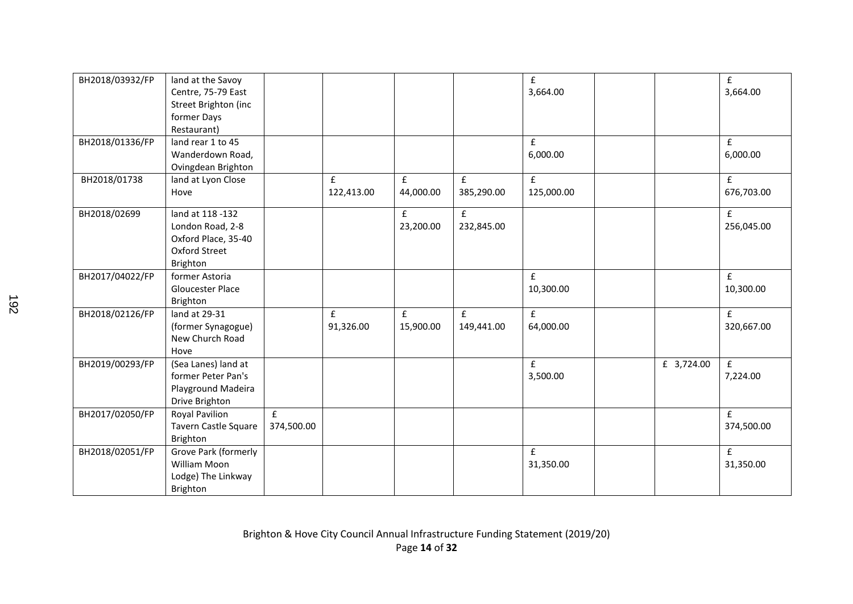| BH2018/03932/FP | land at the Savoy<br>Centre, 75-79 East<br>Street Brighton (inc<br>former Days<br>Restaurant)   |                 |                                  |                                 |                            | $\pmb{\mathsf{f}}$<br>3,664.00   |            | $\pmb{\mathsf{f}}$<br>3,664.00  |
|-----------------|-------------------------------------------------------------------------------------------------|-----------------|----------------------------------|---------------------------------|----------------------------|----------------------------------|------------|---------------------------------|
| BH2018/01336/FP | land rear 1 to 45<br>Wanderdown Road,<br>Ovingdean Brighton                                     |                 |                                  |                                 |                            | £<br>6,000.00                    |            | f<br>6,000.00                   |
| BH2018/01738    | land at Lyon Close<br>Hove                                                                      |                 | $\pmb{\mathsf{f}}$<br>122,413.00 | $\pmb{\mathsf{f}}$<br>44,000.00 | $\mathbf{f}$<br>385,290.00 | $\pmb{\mathsf{f}}$<br>125,000.00 |            | f<br>676,703.00                 |
| BH2018/02699    | land at 118 -132<br>London Road, 2-8<br>Oxford Place, 35-40<br><b>Oxford Street</b><br>Brighton |                 |                                  | £<br>23,200.00                  | $\mathbf{f}$<br>232,845.00 |                                  |            | f<br>256,045.00                 |
| BH2017/04022/FP | former Astoria<br>Gloucester Place<br>Brighton                                                  |                 |                                  |                                 |                            | £<br>10,300.00                   |            | f<br>10,300.00                  |
| BH2018/02126/FP | land at 29-31<br>(former Synagogue)<br>New Church Road<br>Hove                                  |                 | $\mathbf{f}$<br>91,326.00        | f<br>15,900.00                  | $\mathbf{f}$<br>149,441.00 | $\pmb{\mathsf{f}}$<br>64,000.00  |            | f<br>320,667.00                 |
| BH2019/00293/FP | (Sea Lanes) land at<br>former Peter Pan's<br>Playground Madeira<br>Drive Brighton               |                 |                                  |                                 |                            | £<br>3,500.00                    | £ 3,724.00 | f<br>7,224.00                   |
| BH2017/02050/FP | Royal Pavilion<br>Tavern Castle Square<br>Brighton                                              | f<br>374,500.00 |                                  |                                 |                            |                                  |            | $\mathbf{f}$<br>374,500.00      |
| BH2018/02051/FP | Grove Park (formerly<br>William Moon<br>Lodge) The Linkway<br>Brighton                          |                 |                                  |                                 |                            | $\pmb{\mathsf{f}}$<br>31,350.00  |            | $\pmb{\mathsf{f}}$<br>31,350.00 |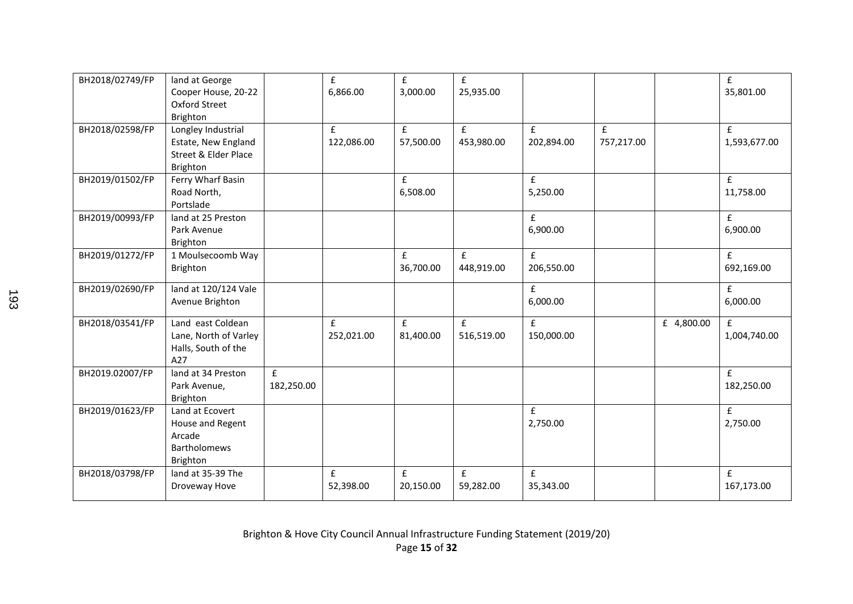| BH2018/02749/FP | land at George<br>Cooper House, 20-22<br><b>Oxford Street</b><br>Brighton                |                 | $\pmb{\mathsf{f}}$<br>6,866.00 | $\pmb{\mathsf{f}}$<br>3,000.00  | £<br>25,935.00             |                                  |                            |            | $\mathbf f$<br>35,801.00     |
|-----------------|------------------------------------------------------------------------------------------|-----------------|--------------------------------|---------------------------------|----------------------------|----------------------------------|----------------------------|------------|------------------------------|
| BH2018/02598/FP | Longley Industrial<br>Estate, New England<br><b>Street &amp; Elder Place</b><br>Brighton |                 | £<br>122,086.00                | $\pmb{\mathsf{f}}$<br>57,500.00 | £<br>453,980.00            | $\mathbf{f}$<br>202,894.00       | $\mathbf{f}$<br>757,217.00 |            | $\mathbf{f}$<br>1,593,677.00 |
| BH2019/01502/FP | Ferry Wharf Basin<br>Road North,<br>Portslade                                            |                 |                                | $\pmb{\mathsf{f}}$<br>6,508.00  |                            | $\mathbf{f}$<br>5,250.00         |                            |            | $\mathbf{f}$<br>11,758.00    |
| BH2019/00993/FP | land at 25 Preston<br>Park Avenue<br>Brighton                                            |                 |                                |                                 |                            | £<br>6,900.00                    |                            |            | £<br>6,900.00                |
| BH2019/01272/FP | 1 Moulsecoomb Way<br>Brighton                                                            |                 |                                | $\pmb{\mathsf{f}}$<br>36,700.00 | $\mathbf f$<br>448,919.00  | $\pmb{\mathsf{f}}$<br>206,550.00 |                            |            | £<br>692,169.00              |
| BH2019/02690/FP | land at 120/124 Vale<br>Avenue Brighton                                                  |                 |                                |                                 |                            | $\pmb{\mathsf{f}}$<br>6,000.00   |                            |            | £<br>6,000.00                |
| BH2018/03541/FP | Land east Coldean<br>Lane, North of Varley<br>Halls, South of the<br>A27                 |                 | $\mathbf{f}$<br>252,021.00     | £<br>81,400.00                  | $\mathbf{f}$<br>516,519.00 | $\mathbf{f}$<br>150,000.00       |                            | £ 4,800.00 | £<br>1,004,740.00            |
| BH2019.02007/FP | land at 34 Preston<br>Park Avenue,<br>Brighton                                           | £<br>182,250.00 |                                |                                 |                            |                                  |                            |            | $\mathbf{f}$<br>182,250.00   |
| BH2019/01623/FP | Land at Ecovert<br>House and Regent<br>Arcade<br><b>Bartholomews</b><br>Brighton         |                 |                                |                                 |                            | £<br>2,750.00                    |                            |            | £<br>2,750.00                |
| BH2018/03798/FP | land at 35-39 The<br>Droveway Hove                                                       |                 | £<br>52,398.00                 | £<br>20,150.00                  | £<br>59,282.00             | $\mathbf f$<br>35,343.00         |                            |            | £<br>167,173.00              |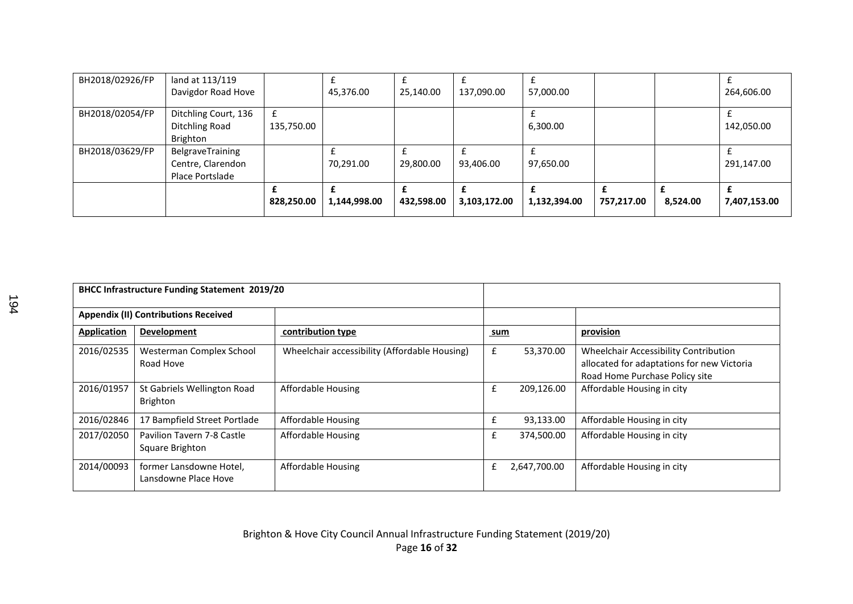| BH2018/02926/FP | land at 113/119<br>Davigdor Road Hove                    |            | 45,376.00    | 25,140.00  | 137,090.00   | 57,000.00    |            |          | 264,606.00   |
|-----------------|----------------------------------------------------------|------------|--------------|------------|--------------|--------------|------------|----------|--------------|
| BH2018/02054/FP | Ditchling Court, 136<br>Ditchling Road<br>Brighton       | 135,750.00 |              |            |              | 6,300.00     |            |          | 142,050.00   |
| BH2018/03629/FP | BelgraveTraining<br>Centre, Clarendon<br>Place Portslade |            | 70,291.00    | 29,800.00  | 93,406.00    | 97,650.00    |            |          | 291,147.00   |
|                 |                                                          | 828,250.00 | 1,144,998.00 | 432,598.00 | 3,103,172.00 | 1,132,394.00 | 757,217.00 | 8,524.00 | 7,407,153.00 |

| <b>BHCC Infrastructure Funding Statement 2019/20</b> |                                                 |                                               |     |              |                                                                                                                       |
|------------------------------------------------------|-------------------------------------------------|-----------------------------------------------|-----|--------------|-----------------------------------------------------------------------------------------------------------------------|
|                                                      | <b>Appendix (II) Contributions Received</b>     |                                               |     |              |                                                                                                                       |
| <b>Application</b>                                   | <b>Development</b>                              | contribution type                             | sum |              | provision                                                                                                             |
| 2016/02535                                           | Westerman Complex School<br>Road Hove           | Wheelchair accessibility (Affordable Housing) | £   | 53,370.00    | Wheelchair Accessibility Contribution<br>allocated for adaptations for new Victoria<br>Road Home Purchase Policy site |
| 2016/01957                                           | St Gabriels Wellington Road<br><b>Brighton</b>  | <b>Affordable Housing</b>                     | £   | 209,126.00   | Affordable Housing in city                                                                                            |
| 2016/02846                                           | 17 Bampfield Street Portlade                    | Affordable Housing                            | £   | 93,133.00    | Affordable Housing in city                                                                                            |
| 2017/02050                                           | Pavilion Tavern 7-8 Castle<br>Square Brighton   | Affordable Housing                            | £   | 374,500.00   | Affordable Housing in city                                                                                            |
| 2014/00093                                           | former Lansdowne Hotel,<br>Lansdowne Place Hove | Affordable Housing                            | £   | 2,647,700.00 | Affordable Housing in city                                                                                            |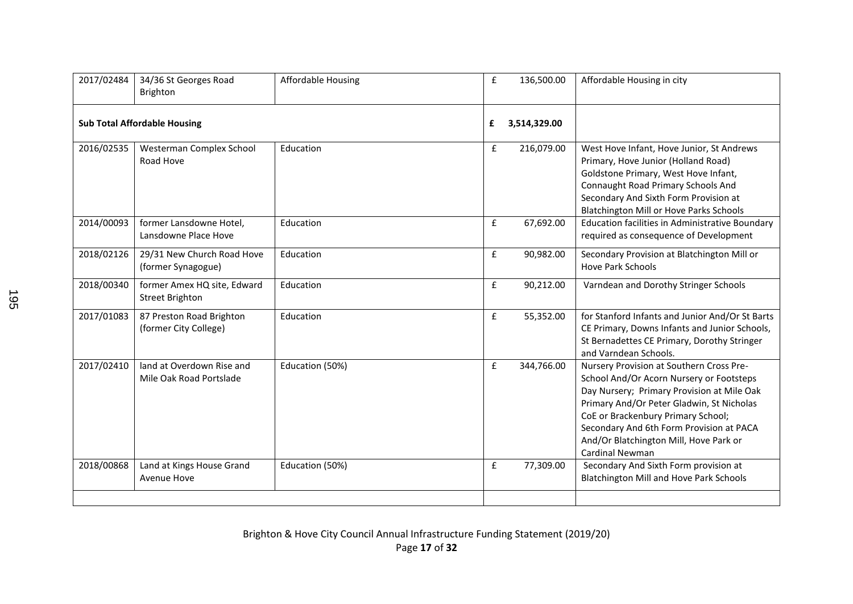| 2017/02484 | 34/36 St Georges Road<br>Brighton                     | <b>Affordable Housing</b> | $\pmb{\mathsf{f}}$ | 136,500.00   | Affordable Housing in city                                                                                                                                                                                                                                                                                                     |
|------------|-------------------------------------------------------|---------------------------|--------------------|--------------|--------------------------------------------------------------------------------------------------------------------------------------------------------------------------------------------------------------------------------------------------------------------------------------------------------------------------------|
|            | <b>Sub Total Affordable Housing</b>                   |                           | £                  | 3,514,329.00 |                                                                                                                                                                                                                                                                                                                                |
| 2016/02535 | Westerman Complex School<br>Road Hove                 | Education                 | £                  | 216,079.00   | West Hove Infant, Hove Junior, St Andrews<br>Primary, Hove Junior (Holland Road)<br>Goldstone Primary, West Hove Infant,<br>Connaught Road Primary Schools And<br>Secondary And Sixth Form Provision at<br>Blatchington Mill or Hove Parks Schools                                                                             |
| 2014/00093 | former Lansdowne Hotel,<br>Lansdowne Place Hove       | Education                 | $\mathbf f$        | 67,692.00    | Education facilities in Administrative Boundary<br>required as consequence of Development                                                                                                                                                                                                                                      |
| 2018/02126 | 29/31 New Church Road Hove<br>(former Synagogue)      | Education                 | $\pmb{\mathsf{f}}$ | 90,982.00    | Secondary Provision at Blatchington Mill or<br><b>Hove Park Schools</b>                                                                                                                                                                                                                                                        |
| 2018/00340 | former Amex HQ site, Edward<br><b>Street Brighton</b> | Education                 | $\mathbf{f}$       | 90,212.00    | Varndean and Dorothy Stringer Schools                                                                                                                                                                                                                                                                                          |
| 2017/01083 | 87 Preston Road Brighton<br>(former City College)     | Education                 | $\mathbf f$        | 55,352.00    | for Stanford Infants and Junior And/Or St Barts<br>CE Primary, Downs Infants and Junior Schools,<br>St Bernadettes CE Primary, Dorothy Stringer<br>and Varndean Schools.                                                                                                                                                       |
| 2017/02410 | land at Overdown Rise and<br>Mile Oak Road Portslade  | Education (50%)           | $\mathbf f$        | 344,766.00   | Nursery Provision at Southern Cross Pre-<br>School And/Or Acorn Nursery or Footsteps<br>Day Nursery; Primary Provision at Mile Oak<br>Primary And/Or Peter Gladwin, St Nicholas<br>CoE or Brackenbury Primary School;<br>Secondary And 6th Form Provision at PACA<br>And/Or Blatchington Mill, Hove Park or<br>Cardinal Newman |
| 2018/00868 | Land at Kings House Grand<br>Avenue Hove              | Education (50%)           | £                  | 77,309.00    | Secondary And Sixth Form provision at<br><b>Blatchington Mill and Hove Park Schools</b>                                                                                                                                                                                                                                        |
|            |                                                       |                           |                    |              |                                                                                                                                                                                                                                                                                                                                |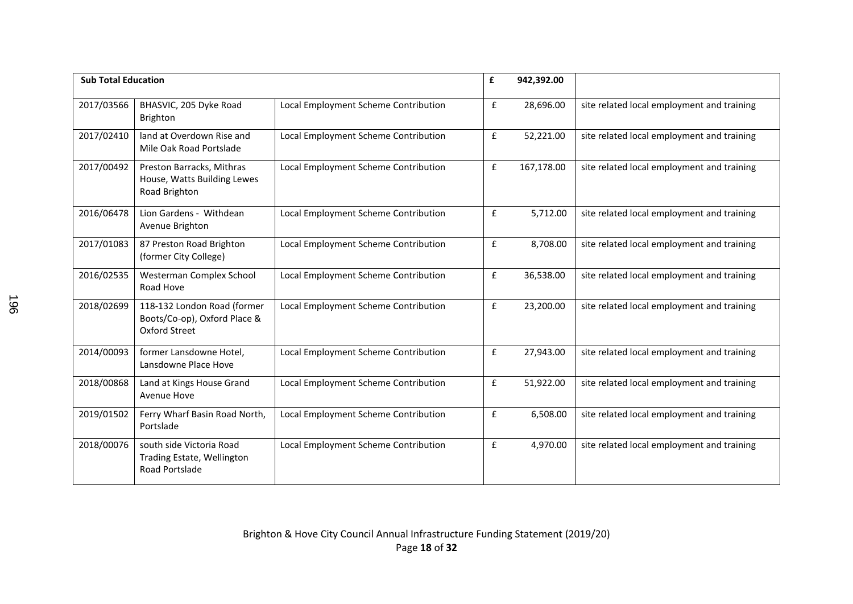| <b>Sub Total Education</b> |                                                                                     | £                                    | 942,392.00         |            |                                            |
|----------------------------|-------------------------------------------------------------------------------------|--------------------------------------|--------------------|------------|--------------------------------------------|
| 2017/03566                 | BHASVIC, 205 Dyke Road<br>Brighton                                                  | Local Employment Scheme Contribution | $\mathbf f$        | 28,696.00  | site related local employment and training |
| 2017/02410                 | land at Overdown Rise and<br>Mile Oak Road Portslade                                | Local Employment Scheme Contribution | $\mathbf f$        | 52,221.00  | site related local employment and training |
| 2017/00492                 | Preston Barracks, Mithras<br>House, Watts Building Lewes<br>Road Brighton           | Local Employment Scheme Contribution | £                  | 167,178.00 | site related local employment and training |
| 2016/06478                 | Lion Gardens - Withdean<br>Avenue Brighton                                          | Local Employment Scheme Contribution | $\mathbf f$        | 5,712.00   | site related local employment and training |
| 2017/01083                 | 87 Preston Road Brighton<br>(former City College)                                   | Local Employment Scheme Contribution | $\mathbf f$        | 8,708.00   | site related local employment and training |
| 2016/02535                 | Westerman Complex School<br>Road Hove                                               | Local Employment Scheme Contribution | $\pmb{\mathsf{f}}$ | 36,538.00  | site related local employment and training |
| 2018/02699                 | 118-132 London Road (former<br>Boots/Co-op), Oxford Place &<br><b>Oxford Street</b> | Local Employment Scheme Contribution | $\pmb{\mathsf{f}}$ | 23,200.00  | site related local employment and training |
| 2014/00093                 | former Lansdowne Hotel,<br>Lansdowne Place Hove                                     | Local Employment Scheme Contribution | $\mathbf{f}$       | 27,943.00  | site related local employment and training |
| 2018/00868                 | Land at Kings House Grand<br>Avenue Hove                                            | Local Employment Scheme Contribution | $\mathbf f$        | 51,922.00  | site related local employment and training |
| 2019/01502                 | Ferry Wharf Basin Road North,<br>Portslade                                          | Local Employment Scheme Contribution | f                  | 6,508.00   | site related local employment and training |
| 2018/00076                 | south side Victoria Road<br>Trading Estate, Wellington<br>Road Portslade            | Local Employment Scheme Contribution | $\mathbf f$        | 4,970.00   | site related local employment and training |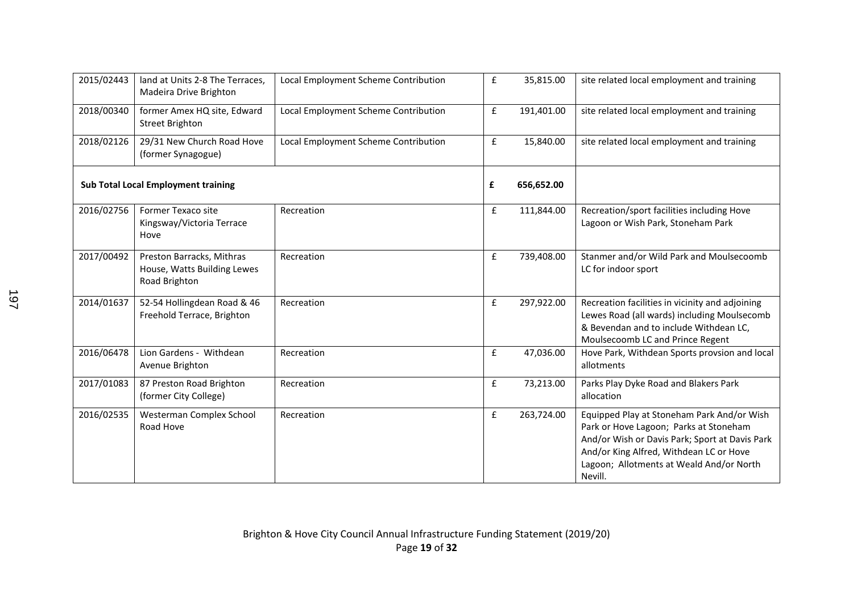| 2015/02443 | land at Units 2-8 The Terraces,<br>Madeira Drive Brighton                 | Local Employment Scheme Contribution | $\mathbf f$        | 35,815.00  | site related local employment and training                                                                                                                                                                                               |
|------------|---------------------------------------------------------------------------|--------------------------------------|--------------------|------------|------------------------------------------------------------------------------------------------------------------------------------------------------------------------------------------------------------------------------------------|
| 2018/00340 | former Amex HQ site, Edward<br><b>Street Brighton</b>                     | Local Employment Scheme Contribution | $\pmb{\mathsf{f}}$ | 191,401.00 | site related local employment and training                                                                                                                                                                                               |
| 2018/02126 | 29/31 New Church Road Hove<br>(former Synagogue)                          | Local Employment Scheme Contribution | $\mathbf f$        | 15,840.00  | site related local employment and training                                                                                                                                                                                               |
|            | <b>Sub Total Local Employment training</b>                                |                                      | £                  | 656,652.00 |                                                                                                                                                                                                                                          |
| 2016/02756 | Former Texaco site<br>Kingsway/Victoria Terrace<br>Hove                   | Recreation                           | £                  | 111,844.00 | Recreation/sport facilities including Hove<br>Lagoon or Wish Park, Stoneham Park                                                                                                                                                         |
| 2017/00492 | Preston Barracks, Mithras<br>House, Watts Building Lewes<br>Road Brighton | Recreation                           | £                  | 739,408.00 | Stanmer and/or Wild Park and Moulsecoomb<br>LC for indoor sport                                                                                                                                                                          |
| 2014/01637 | 52-54 Hollingdean Road & 46<br>Freehold Terrace, Brighton                 | Recreation                           | $\pmb{\mathsf{f}}$ | 297,922.00 | Recreation facilities in vicinity and adjoining<br>Lewes Road (all wards) including Moulsecomb<br>& Bevendan and to include Withdean LC,<br>Moulsecoomb LC and Prince Regent                                                             |
| 2016/06478 | Lion Gardens - Withdean<br>Avenue Brighton                                | Recreation                           | $\pmb{\mathsf{f}}$ | 47,036.00  | Hove Park, Withdean Sports provsion and local<br>allotments                                                                                                                                                                              |
| 2017/01083 | 87 Preston Road Brighton<br>(former City College)                         | Recreation                           | $\mathbf f$        | 73,213.00  | Parks Play Dyke Road and Blakers Park<br>allocation                                                                                                                                                                                      |
| 2016/02535 | Westerman Complex School<br>Road Hove                                     | Recreation                           | £                  | 263,724.00 | Equipped Play at Stoneham Park And/or Wish<br>Park or Hove Lagoon; Parks at Stoneham<br>And/or Wish or Davis Park; Sport at Davis Park<br>And/or King Alfred, Withdean LC or Hove<br>Lagoon; Allotments at Weald And/or North<br>Nevill. |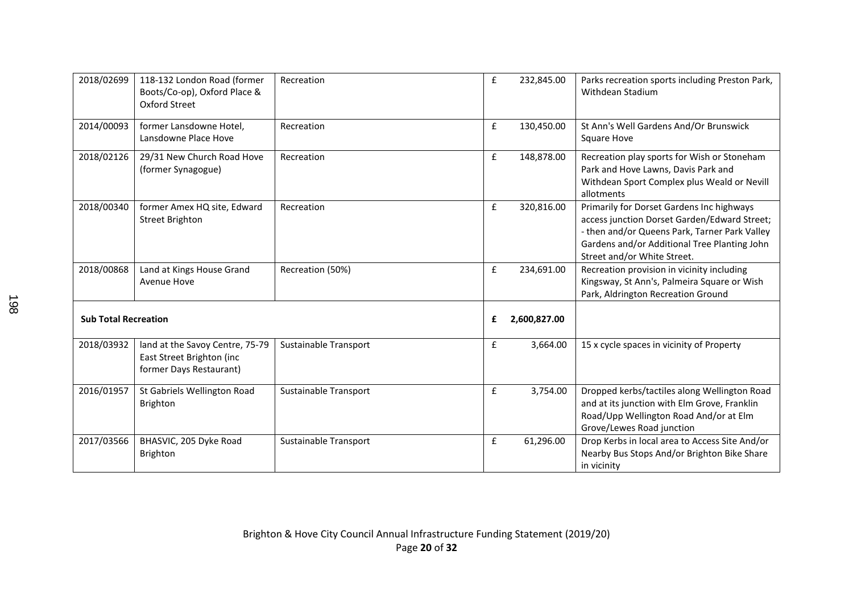| 2018/02699 | 118-132 London Road (former<br>Boots/Co-op), Oxford Place &<br>Oxford Street            | Recreation            | $\mathbf f$ | 232,845.00   | Parks recreation sports including Preston Park,<br>Withdean Stadium                                                                                                                                                       |
|------------|-----------------------------------------------------------------------------------------|-----------------------|-------------|--------------|---------------------------------------------------------------------------------------------------------------------------------------------------------------------------------------------------------------------------|
| 2014/00093 | former Lansdowne Hotel,<br>Lansdowne Place Hove                                         | Recreation            | £           | 130,450.00   | St Ann's Well Gardens And/Or Brunswick<br><b>Square Hove</b>                                                                                                                                                              |
| 2018/02126 | 29/31 New Church Road Hove<br>(former Synagogue)                                        | Recreation            | $\mathbf f$ | 148,878.00   | Recreation play sports for Wish or Stoneham<br>Park and Hove Lawns, Davis Park and<br>Withdean Sport Complex plus Weald or Nevill<br>allotments                                                                           |
| 2018/00340 | former Amex HQ site, Edward<br><b>Street Brighton</b>                                   | Recreation            | £           | 320,816.00   | Primarily for Dorset Gardens Inc highways<br>access junction Dorset Garden/Edward Street;<br>- then and/or Queens Park, Tarner Park Valley<br>Gardens and/or Additional Tree Planting John<br>Street and/or White Street. |
| 2018/00868 | Land at Kings House Grand<br>Avenue Hove                                                | Recreation (50%)      | £           | 234,691.00   | Recreation provision in vicinity including<br>Kingsway, St Ann's, Palmeira Square or Wish<br>Park, Aldrington Recreation Ground                                                                                           |
|            | <b>Sub Total Recreation</b>                                                             |                       | £           | 2,600,827.00 |                                                                                                                                                                                                                           |
| 2018/03932 | land at the Savoy Centre, 75-79<br>East Street Brighton (inc<br>former Days Restaurant) | Sustainable Transport | £           | 3,664.00     | 15 x cycle spaces in vicinity of Property                                                                                                                                                                                 |
| 2016/01957 | St Gabriels Wellington Road<br><b>Brighton</b>                                          | Sustainable Transport | £           | 3,754.00     | Dropped kerbs/tactiles along Wellington Road<br>and at its junction with Elm Grove, Franklin<br>Road/Upp Wellington Road And/or at Elm<br>Grove/Lewes Road junction                                                       |
| 2017/03566 | BHASVIC, 205 Dyke Road<br><b>Brighton</b>                                               | Sustainable Transport | £           | 61,296.00    | Drop Kerbs in local area to Access Site And/or<br>Nearby Bus Stops And/or Brighton Bike Share<br>in vicinity                                                                                                              |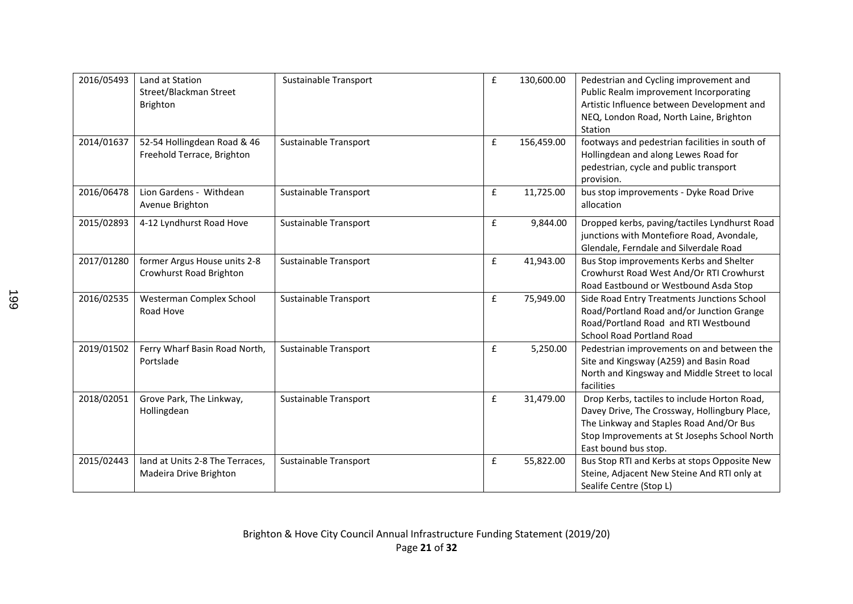| 2016/05493 | Land at Station<br>Street/Blackman Street<br>Brighton     | Sustainable Transport | $\pmb{\mathsf{f}}$ | 130,600.00 | Pedestrian and Cycling improvement and<br>Public Realm improvement Incorporating<br>Artistic Influence between Development and<br>NEQ, London Road, North Laine, Brighton<br>Station                             |
|------------|-----------------------------------------------------------|-----------------------|--------------------|------------|------------------------------------------------------------------------------------------------------------------------------------------------------------------------------------------------------------------|
| 2014/01637 | 52-54 Hollingdean Road & 46<br>Freehold Terrace, Brighton | Sustainable Transport | £                  | 156,459.00 | footways and pedestrian facilities in south of<br>Hollingdean and along Lewes Road for<br>pedestrian, cycle and public transport<br>provision.                                                                   |
| 2016/06478 | Lion Gardens - Withdean<br>Avenue Brighton                | Sustainable Transport | $\pmb{\mathsf{f}}$ | 11,725.00  | bus stop improvements - Dyke Road Drive<br>allocation                                                                                                                                                            |
| 2015/02893 | 4-12 Lyndhurst Road Hove                                  | Sustainable Transport | $\pmb{\mathsf{f}}$ | 9,844.00   | Dropped kerbs, paving/tactiles Lyndhurst Road<br>junctions with Montefiore Road, Avondale,<br>Glendale, Ferndale and Silverdale Road                                                                             |
| 2017/01280 | former Argus House units 2-8<br>Crowhurst Road Brighton   | Sustainable Transport | £                  | 41,943.00  | Bus Stop improvements Kerbs and Shelter<br>Crowhurst Road West And/Or RTI Crowhurst<br>Road Eastbound or Westbound Asda Stop                                                                                     |
| 2016/02535 | Westerman Complex School<br>Road Hove                     | Sustainable Transport | $\mathbf f$        | 75,949.00  | Side Road Entry Treatments Junctions School<br>Road/Portland Road and/or Junction Grange<br>Road/Portland Road and RTI Westbound<br><b>School Road Portland Road</b>                                             |
| 2019/01502 | Ferry Wharf Basin Road North,<br>Portslade                | Sustainable Transport | $\pmb{\mathsf{f}}$ | 5,250.00   | Pedestrian improvements on and between the<br>Site and Kingsway (A259) and Basin Road<br>North and Kingsway and Middle Street to local<br>facilities                                                             |
| 2018/02051 | Grove Park, The Linkway,<br>Hollingdean                   | Sustainable Transport | £                  | 31,479.00  | Drop Kerbs, tactiles to include Horton Road,<br>Davey Drive, The Crossway, Hollingbury Place,<br>The Linkway and Staples Road And/Or Bus<br>Stop Improvements at St Josephs School North<br>East bound bus stop. |
| 2015/02443 | land at Units 2-8 The Terraces,<br>Madeira Drive Brighton | Sustainable Transport | $\pmb{\mathsf{f}}$ | 55,822.00  | Bus Stop RTI and Kerbs at stops Opposite New<br>Steine, Adjacent New Steine And RTI only at<br>Sealife Centre (Stop L)                                                                                           |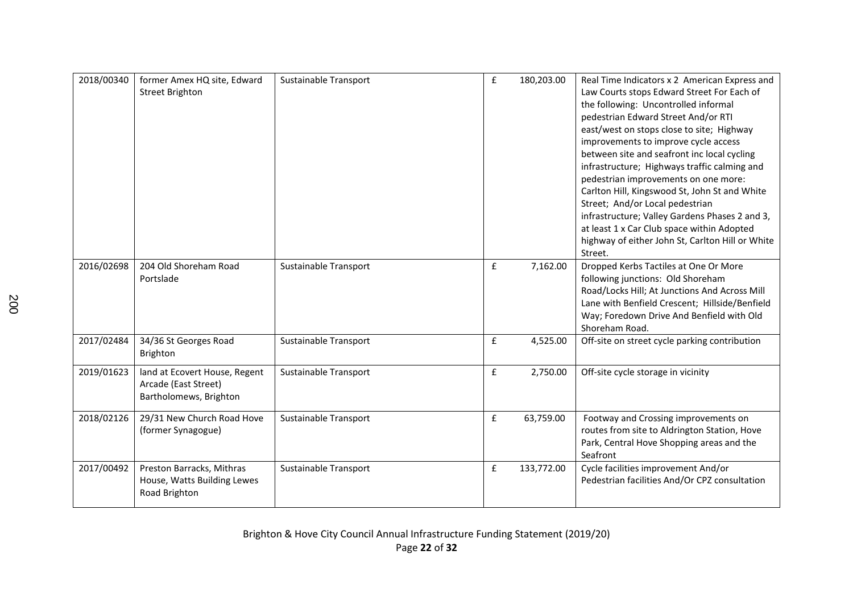| 2018/00340 | former Amex HQ site, Edward<br><b>Street Brighton</b>                           | Sustainable Transport | $\mathbf f$ | 180,203.00 | Real Time Indicators x 2 American Express and<br>Law Courts stops Edward Street For Each of<br>the following: Uncontrolled informal<br>pedestrian Edward Street And/or RTI<br>east/west on stops close to site; Highway<br>improvements to improve cycle access<br>between site and seafront inc local cycling<br>infrastructure; Highways traffic calming and<br>pedestrian improvements on one more:<br>Carlton Hill, Kingswood St, John St and White<br>Street; And/or Local pedestrian<br>infrastructure; Valley Gardens Phases 2 and 3,<br>at least 1 x Car Club space within Adopted<br>highway of either John St, Carlton Hill or White<br>Street. |
|------------|---------------------------------------------------------------------------------|-----------------------|-------------|------------|-----------------------------------------------------------------------------------------------------------------------------------------------------------------------------------------------------------------------------------------------------------------------------------------------------------------------------------------------------------------------------------------------------------------------------------------------------------------------------------------------------------------------------------------------------------------------------------------------------------------------------------------------------------|
| 2016/02698 | 204 Old Shoreham Road<br>Portslade                                              | Sustainable Transport | $\mathbf f$ | 7,162.00   | Dropped Kerbs Tactiles at One Or More<br>following junctions: Old Shoreham<br>Road/Locks Hill; At Junctions And Across Mill<br>Lane with Benfield Crescent; Hillside/Benfield<br>Way; Foredown Drive And Benfield with Old<br>Shoreham Road.                                                                                                                                                                                                                                                                                                                                                                                                              |
| 2017/02484 | 34/36 St Georges Road<br>Brighton                                               | Sustainable Transport | $\mathbf f$ | 4,525.00   | Off-site on street cycle parking contribution                                                                                                                                                                                                                                                                                                                                                                                                                                                                                                                                                                                                             |
| 2019/01623 | land at Ecovert House, Regent<br>Arcade (East Street)<br>Bartholomews, Brighton | Sustainable Transport | $\mathbf f$ | 2,750.00   | Off-site cycle storage in vicinity                                                                                                                                                                                                                                                                                                                                                                                                                                                                                                                                                                                                                        |
| 2018/02126 | 29/31 New Church Road Hove<br>(former Synagogue)                                | Sustainable Transport | £           | 63,759.00  | Footway and Crossing improvements on<br>routes from site to Aldrington Station, Hove<br>Park, Central Hove Shopping areas and the<br>Seafront                                                                                                                                                                                                                                                                                                                                                                                                                                                                                                             |
| 2017/00492 | Preston Barracks, Mithras<br>House, Watts Building Lewes<br>Road Brighton       | Sustainable Transport | $\mathbf f$ | 133,772.00 | Cycle facilities improvement And/or<br>Pedestrian facilities And/Or CPZ consultation                                                                                                                                                                                                                                                                                                                                                                                                                                                                                                                                                                      |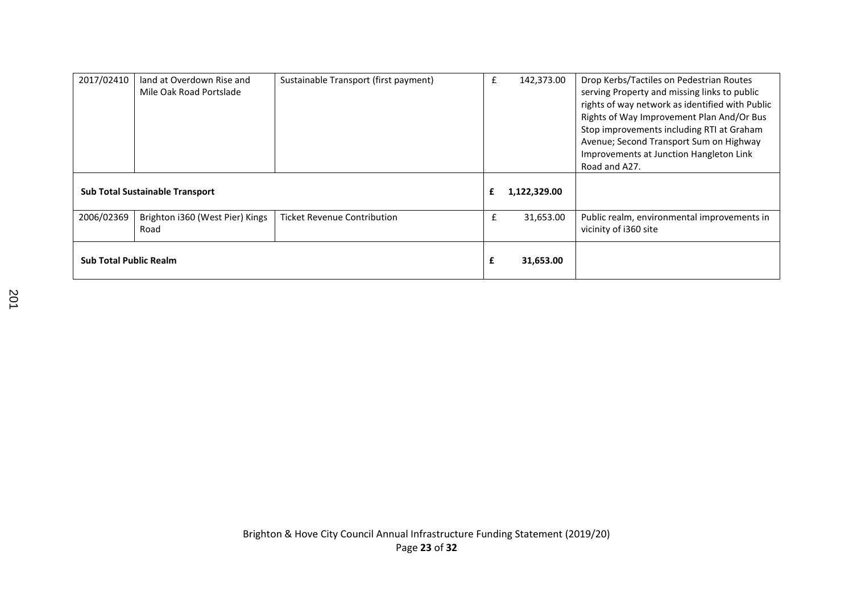| 2017/02410                    | land at Overdown Rise and<br>Mile Oak Road Portslade | Sustainable Transport (first payment) | £         | 142,373.00   | Drop Kerbs/Tactiles on Pedestrian Routes<br>serving Property and missing links to public<br>rights of way network as identified with Public<br>Rights of Way Improvement Plan And/Or Bus<br>Stop improvements including RTI at Graham<br>Avenue; Second Transport Sum on Highway<br>Improvements at Junction Hangleton Link<br>Road and A27. |
|-------------------------------|------------------------------------------------------|---------------------------------------|-----------|--------------|----------------------------------------------------------------------------------------------------------------------------------------------------------------------------------------------------------------------------------------------------------------------------------------------------------------------------------------------|
|                               | <b>Sub Total Sustainable Transport</b>               |                                       |           | 1,122,329.00 |                                                                                                                                                                                                                                                                                                                                              |
| 2006/02369                    | Brighton i360 (West Pier) Kings<br>Road              | <b>Ticket Revenue Contribution</b>    | £         | 31,653.00    | Public realm, environmental improvements in<br>vicinity of i360 site                                                                                                                                                                                                                                                                         |
| <b>Sub Total Public Realm</b> |                                                      | £                                     | 31,653.00 |              |                                                                                                                                                                                                                                                                                                                                              |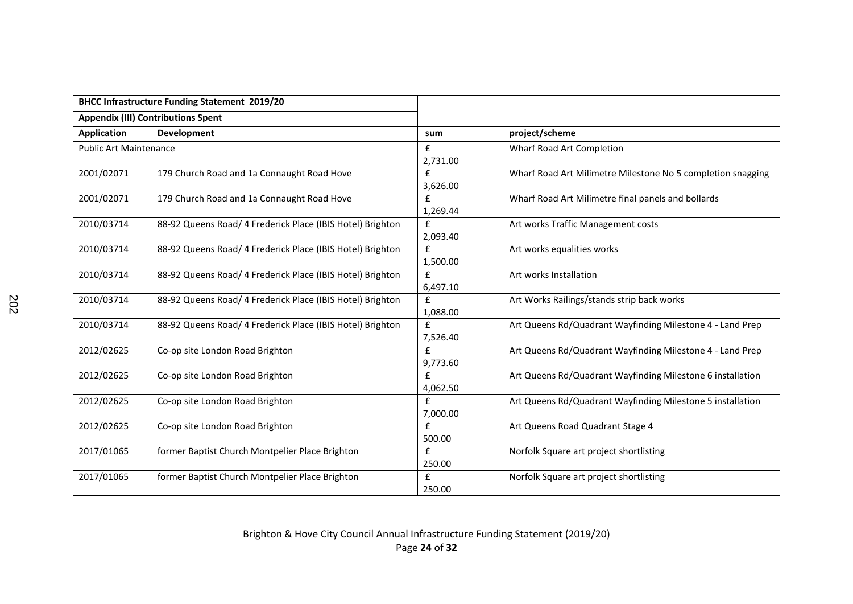|                               | <b>BHCC Infrastructure Funding Statement 2019/20</b>       |                    |                                                             |
|-------------------------------|------------------------------------------------------------|--------------------|-------------------------------------------------------------|
|                               | <b>Appendix (III) Contributions Spent</b>                  |                    |                                                             |
| <b>Application</b>            | Development                                                | sum                | project/scheme                                              |
| <b>Public Art Maintenance</b> |                                                            | £                  | Wharf Road Art Completion                                   |
|                               |                                                            | 2.731.00           |                                                             |
| 2001/02071                    | 179 Church Road and 1a Connaught Road Hove                 | $\mathbf{f}$       | Wharf Road Art Milimetre Milestone No 5 completion snagging |
|                               |                                                            | 3,626.00           |                                                             |
| 2001/02071                    | 179 Church Road and 1a Connaught Road Hove                 | $\mathbf{f}$       | Wharf Road Art Milimetre final panels and bollards          |
|                               |                                                            | 1,269.44           |                                                             |
| 2010/03714                    | 88-92 Queens Road/ 4 Frederick Place (IBIS Hotel) Brighton | £                  | Art works Traffic Management costs                          |
|                               |                                                            | 2,093.40           |                                                             |
| 2010/03714                    | 88-92 Queens Road/ 4 Frederick Place (IBIS Hotel) Brighton | $\mathbf{f}$       | Art works equalities works                                  |
|                               |                                                            | 1,500.00           |                                                             |
| 2010/03714                    | 88-92 Queens Road/ 4 Frederick Place (IBIS Hotel) Brighton | $\mathbf{f}$       | Art works Installation                                      |
|                               |                                                            | 6,497.10           |                                                             |
| 2010/03714                    | 88-92 Queens Road/ 4 Frederick Place (IBIS Hotel) Brighton | £                  | Art Works Railings/stands strip back works                  |
|                               |                                                            | 1,088.00           |                                                             |
| 2010/03714                    | 88-92 Queens Road/ 4 Frederick Place (IBIS Hotel) Brighton | $\mathbf{f}$       | Art Queens Rd/Quadrant Wayfinding Milestone 4 - Land Prep   |
|                               |                                                            | 7,526.40           |                                                             |
| 2012/02625                    | Co-op site London Road Brighton                            | £                  | Art Queens Rd/Quadrant Wayfinding Milestone 4 - Land Prep   |
|                               |                                                            | 9,773.60           |                                                             |
| 2012/02625                    | Co-op site London Road Brighton                            | £                  | Art Queens Rd/Quadrant Wayfinding Milestone 6 installation  |
|                               |                                                            | 4,062.50           |                                                             |
| 2012/02625                    | Co-op site London Road Brighton                            | $\mathbf{f}$       | Art Queens Rd/Quadrant Wayfinding Milestone 5 installation  |
|                               |                                                            | 7,000.00           |                                                             |
| 2012/02625                    | Co-op site London Road Brighton                            | $\pmb{\mathsf{f}}$ | Art Queens Road Quadrant Stage 4                            |
|                               |                                                            | 500.00             |                                                             |
| 2017/01065                    | former Baptist Church Montpelier Place Brighton            | £                  | Norfolk Square art project shortlisting                     |
|                               |                                                            | 250.00             |                                                             |
| 2017/01065                    | former Baptist Church Montpelier Place Brighton            | £                  | Norfolk Square art project shortlisting                     |
|                               |                                                            | 250.00             |                                                             |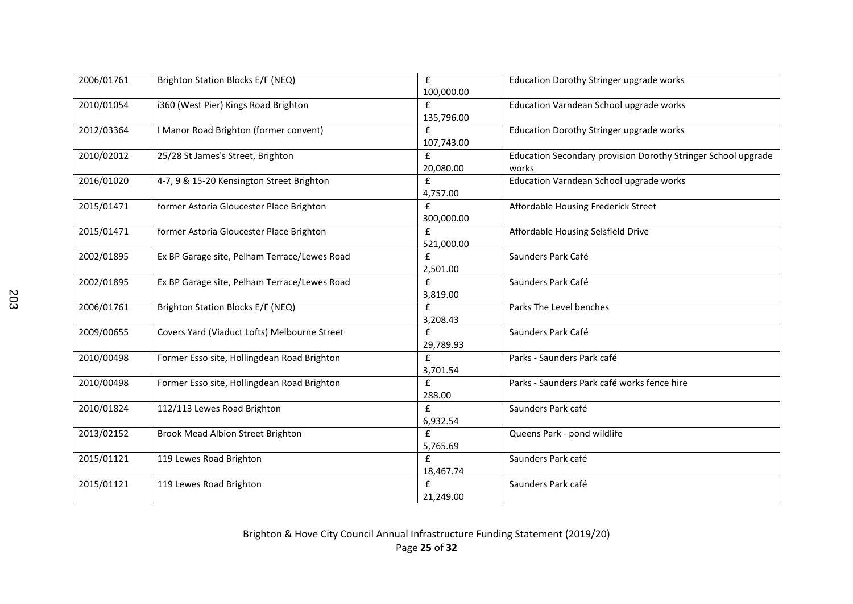| 2006/01761 | Brighton Station Blocks E/F (NEQ)            | £<br>100,000.00            | Education Dorothy Stringer upgrade works                               |
|------------|----------------------------------------------|----------------------------|------------------------------------------------------------------------|
| 2010/01054 | i360 (West Pier) Kings Road Brighton         | $\mathbf{f}$<br>135,796.00 | Education Varndean School upgrade works                                |
| 2012/03364 | I Manor Road Brighton (former convent)       | £<br>107,743.00            | Education Dorothy Stringer upgrade works                               |
| 2010/02012 | 25/28 St James's Street, Brighton            | £<br>20,080.00             | Education Secondary provision Dorothy Stringer School upgrade<br>works |
| 2016/01020 | 4-7, 9 & 15-20 Kensington Street Brighton    | $\mathbf{f}$<br>4,757.00   | Education Varndean School upgrade works                                |
| 2015/01471 | former Astoria Gloucester Place Brighton     | £<br>300,000.00            | Affordable Housing Frederick Street                                    |
| 2015/01471 | former Astoria Gloucester Place Brighton     | $\mathbf{f}$<br>521,000.00 | Affordable Housing Selsfield Drive                                     |
| 2002/01895 | Ex BP Garage site, Pelham Terrace/Lewes Road | £<br>2,501.00              | Saunders Park Café                                                     |
| 2002/01895 | Ex BP Garage site, Pelham Terrace/Lewes Road | £<br>3,819.00              | Saunders Park Café                                                     |
| 2006/01761 | Brighton Station Blocks E/F (NEQ)            | $\mathbf{f}$<br>3,208.43   | Parks The Level benches                                                |
| 2009/00655 | Covers Yard (Viaduct Lofts) Melbourne Street | £<br>29,789.93             | Saunders Park Café                                                     |
| 2010/00498 | Former Esso site, Hollingdean Road Brighton  | £<br>3,701.54              | Parks - Saunders Park café                                             |
| 2010/00498 | Former Esso site, Hollingdean Road Brighton  | f<br>288.00                | Parks - Saunders Park café works fence hire                            |
| 2010/01824 | 112/113 Lewes Road Brighton                  | f<br>6,932.54              | Saunders Park café                                                     |
| 2013/02152 | <b>Brook Mead Albion Street Brighton</b>     | £<br>5,765.69              | Queens Park - pond wildlife                                            |
| 2015/01121 | 119 Lewes Road Brighton                      | £<br>18,467.74             | Saunders Park café                                                     |
| 2015/01121 | 119 Lewes Road Brighton                      | £<br>21,249.00             | Saunders Park café                                                     |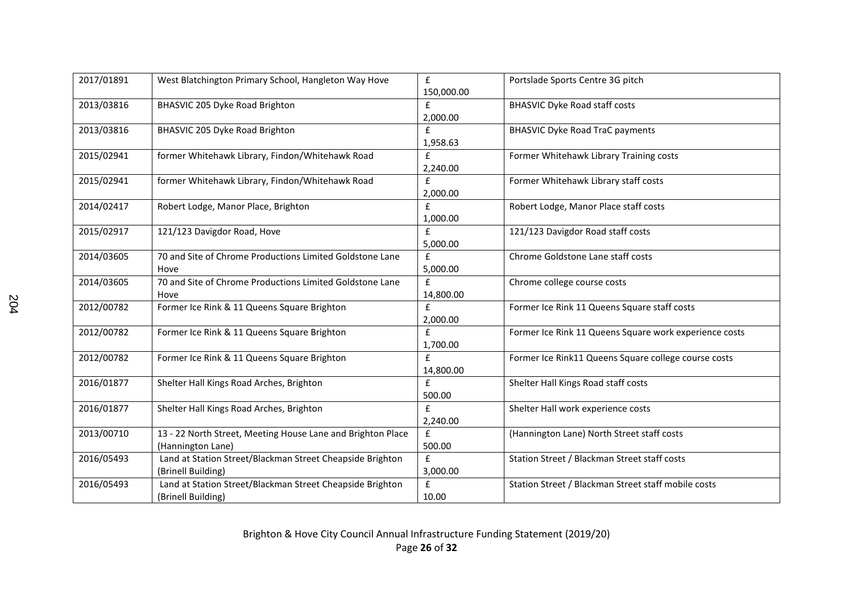| 2017/01891 | West Blatchington Primary School, Hangleton Way Hove                             | $\mathbf{f}$<br>150,000.00   | Portslade Sports Centre 3G pitch                       |
|------------|----------------------------------------------------------------------------------|------------------------------|--------------------------------------------------------|
| 2013/03816 | BHASVIC 205 Dyke Road Brighton                                                   | $\mathbf{f}$<br>2,000.00     | <b>BHASVIC Dyke Road staff costs</b>                   |
| 2013/03816 | BHASVIC 205 Dyke Road Brighton                                                   | $\mathbf{f}$<br>1,958.63     | <b>BHASVIC Dyke Road TraC payments</b>                 |
| 2015/02941 | former Whitehawk Library, Findon/Whitehawk Road                                  | £<br>2,240.00                | Former Whitehawk Library Training costs                |
| 2015/02941 | former Whitehawk Library, Findon/Whitehawk Road                                  | $\mathbf{f}$<br>2,000.00     | Former Whitehawk Library staff costs                   |
| 2014/02417 | Robert Lodge, Manor Place, Brighton                                              | £<br>1,000.00                | Robert Lodge, Manor Place staff costs                  |
| 2015/02917 | 121/123 Davigdor Road, Hove                                                      | $\mathbf{f}$<br>5,000.00     | 121/123 Davigdor Road staff costs                      |
| 2014/03605 | 70 and Site of Chrome Productions Limited Goldstone Lane<br>Hove                 | £<br>5,000.00                | Chrome Goldstone Lane staff costs                      |
| 2014/03605 | 70 and Site of Chrome Productions Limited Goldstone Lane<br>Hove                 | £<br>14,800.00               | Chrome college course costs                            |
| 2012/00782 | Former Ice Rink & 11 Queens Square Brighton                                      | £<br>2,000.00                | Former Ice Rink 11 Queens Square staff costs           |
| 2012/00782 | Former Ice Rink & 11 Queens Square Brighton                                      | £<br>1,700.00                | Former Ice Rink 11 Queens Square work experience costs |
| 2012/00782 | Former Ice Rink & 11 Queens Square Brighton                                      | $\mathbf{f}$<br>14,800.00    | Former Ice Rink11 Queens Square college course costs   |
| 2016/01877 | Shelter Hall Kings Road Arches, Brighton                                         | $\pmb{\mathsf{f}}$<br>500.00 | Shelter Hall Kings Road staff costs                    |
| 2016/01877 | Shelter Hall Kings Road Arches, Brighton                                         | £<br>2,240.00                | Shelter Hall work experience costs                     |
| 2013/00710 | 13 - 22 North Street, Meeting House Lane and Brighton Place<br>(Hannington Lane) | $\mathbf{f}$<br>500.00       | (Hannington Lane) North Street staff costs             |
| 2016/05493 | Land at Station Street/Blackman Street Cheapside Brighton<br>(Brinell Building)  | $\mathbf{f}$<br>3,000.00     | Station Street / Blackman Street staff costs           |
| 2016/05493 | Land at Station Street/Blackman Street Cheapside Brighton<br>(Brinell Building)  | $\pmb{\mathsf{f}}$<br>10.00  | Station Street / Blackman Street staff mobile costs    |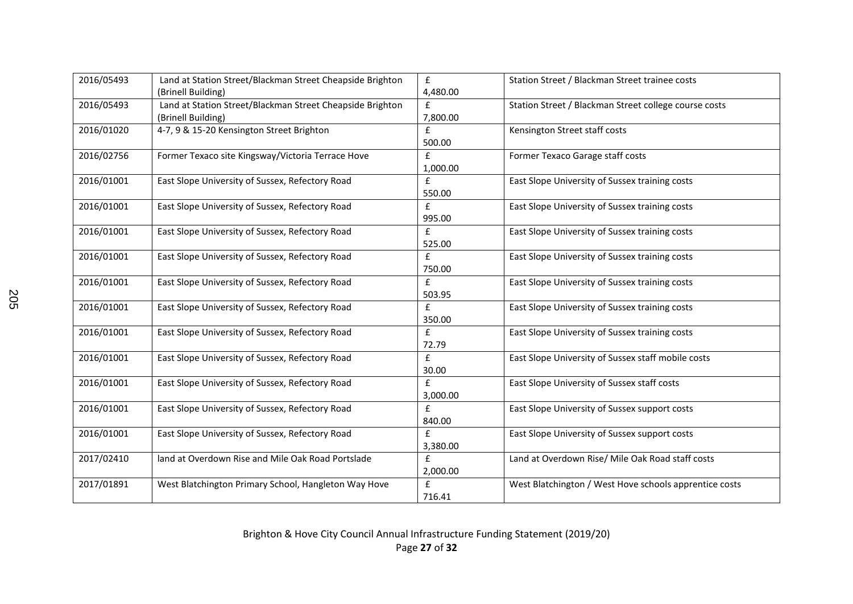| 2016/05493 | Land at Station Street/Blackman Street Cheapside Brighton | £                  | Station Street / Blackman Street trainee costs         |
|------------|-----------------------------------------------------------|--------------------|--------------------------------------------------------|
|            | (Brinell Building)                                        | 4,480.00           |                                                        |
| 2016/05493 | Land at Station Street/Blackman Street Cheapside Brighton | $\mathbf{f}$       | Station Street / Blackman Street college course costs  |
|            | (Brinell Building)                                        | 7,800.00           |                                                        |
| 2016/01020 | 4-7, 9 & 15-20 Kensington Street Brighton                 | £                  | Kensington Street staff costs                          |
|            |                                                           | 500.00             |                                                        |
| 2016/02756 | Former Texaco site Kingsway/Victoria Terrace Hove         | £                  | Former Texaco Garage staff costs                       |
|            |                                                           | 1,000.00           |                                                        |
| 2016/01001 | East Slope University of Sussex, Refectory Road           | $\mathbf{f}$       | East Slope University of Sussex training costs         |
|            |                                                           | 550.00             |                                                        |
| 2016/01001 | East Slope University of Sussex, Refectory Road           | £                  | East Slope University of Sussex training costs         |
|            |                                                           | 995.00             |                                                        |
| 2016/01001 | East Slope University of Sussex, Refectory Road           | £                  | East Slope University of Sussex training costs         |
|            |                                                           | 525.00             |                                                        |
| 2016/01001 | East Slope University of Sussex, Refectory Road           | $\pmb{\mathsf{f}}$ | East Slope University of Sussex training costs         |
|            |                                                           | 750.00             |                                                        |
| 2016/01001 | East Slope University of Sussex, Refectory Road           | £                  | East Slope University of Sussex training costs         |
|            |                                                           | 503.95             |                                                        |
| 2016/01001 | East Slope University of Sussex, Refectory Road           | $\mathbf{f}$       | East Slope University of Sussex training costs         |
|            |                                                           | 350.00             |                                                        |
| 2016/01001 | East Slope University of Sussex, Refectory Road           | £                  | East Slope University of Sussex training costs         |
|            |                                                           | 72.79              |                                                        |
| 2016/01001 | East Slope University of Sussex, Refectory Road           | £                  | East Slope University of Sussex staff mobile costs     |
|            |                                                           | 30.00              |                                                        |
| 2016/01001 | East Slope University of Sussex, Refectory Road           | $\pmb{\mathsf{f}}$ | East Slope University of Sussex staff costs            |
|            |                                                           | 3,000.00           |                                                        |
| 2016/01001 | East Slope University of Sussex, Refectory Road           | £                  | East Slope University of Sussex support costs          |
|            |                                                           | 840.00             |                                                        |
| 2016/01001 | East Slope University of Sussex, Refectory Road           | £                  | East Slope University of Sussex support costs          |
|            |                                                           | 3,380.00           |                                                        |
| 2017/02410 | land at Overdown Rise and Mile Oak Road Portslade         | £                  | Land at Overdown Rise/ Mile Oak Road staff costs       |
|            |                                                           | 2,000.00           |                                                        |
| 2017/01891 | West Blatchington Primary School, Hangleton Way Hove      | $\mathbf{f}$       | West Blatchington / West Hove schools apprentice costs |
|            |                                                           | 716.41             |                                                        |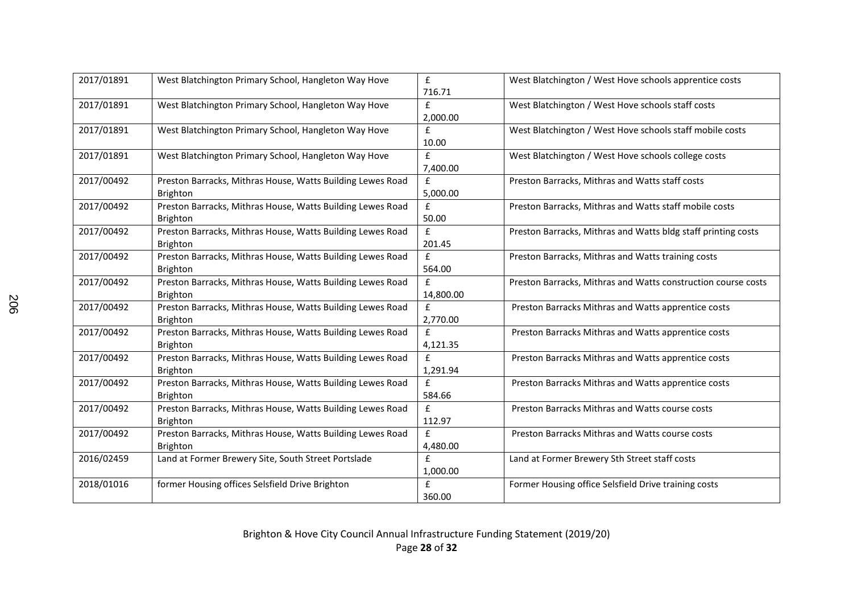| 2017/01891 | West Blatchington Primary School, Hangleton Way Hove                          | £<br>716.71              | West Blatchington / West Hove schools apprentice costs        |
|------------|-------------------------------------------------------------------------------|--------------------------|---------------------------------------------------------------|
| 2017/01891 | West Blatchington Primary School, Hangleton Way Hove                          | £<br>2,000.00            | West Blatchington / West Hove schools staff costs             |
| 2017/01891 | West Blatchington Primary School, Hangleton Way Hove                          | f<br>10.00               | West Blatchington / West Hove schools staff mobile costs      |
| 2017/01891 | West Blatchington Primary School, Hangleton Way Hove                          | £<br>7,400.00            | West Blatchington / West Hove schools college costs           |
| 2017/00492 | Preston Barracks, Mithras House, Watts Building Lewes Road<br><b>Brighton</b> | $\mathbf{f}$<br>5,000.00 | Preston Barracks, Mithras and Watts staff costs               |
| 2017/00492 | Preston Barracks, Mithras House, Watts Building Lewes Road<br><b>Brighton</b> | £<br>50.00               | Preston Barracks, Mithras and Watts staff mobile costs        |
| 2017/00492 | Preston Barracks, Mithras House, Watts Building Lewes Road<br>Brighton        | £<br>201.45              | Preston Barracks, Mithras and Watts bldg staff printing costs |
| 2017/00492 | Preston Barracks, Mithras House, Watts Building Lewes Road<br><b>Brighton</b> | £<br>564.00              | Preston Barracks, Mithras and Watts training costs            |
| 2017/00492 | Preston Barracks, Mithras House, Watts Building Lewes Road<br><b>Brighton</b> | £<br>14,800.00           | Preston Barracks, Mithras and Watts construction course costs |
| 2017/00492 | Preston Barracks, Mithras House, Watts Building Lewes Road<br><b>Brighton</b> | $\mathbf{f}$<br>2,770.00 | Preston Barracks Mithras and Watts apprentice costs           |
| 2017/00492 | Preston Barracks, Mithras House, Watts Building Lewes Road<br><b>Brighton</b> | $\mathbf{f}$<br>4,121.35 | Preston Barracks Mithras and Watts apprentice costs           |
| 2017/00492 | Preston Barracks, Mithras House, Watts Building Lewes Road<br><b>Brighton</b> | $\mathbf{f}$<br>1,291.94 | Preston Barracks Mithras and Watts apprentice costs           |
| 2017/00492 | Preston Barracks, Mithras House, Watts Building Lewes Road<br><b>Brighton</b> | f<br>584.66              | Preston Barracks Mithras and Watts apprentice costs           |
| 2017/00492 | Preston Barracks, Mithras House, Watts Building Lewes Road<br><b>Brighton</b> | £<br>112.97              | Preston Barracks Mithras and Watts course costs               |
| 2017/00492 | Preston Barracks, Mithras House, Watts Building Lewes Road<br><b>Brighton</b> | £<br>4,480.00            | Preston Barracks Mithras and Watts course costs               |
| 2016/02459 | Land at Former Brewery Site, South Street Portslade                           | £<br>1,000.00            | Land at Former Brewery Sth Street staff costs                 |
| 2018/01016 | former Housing offices Selsfield Drive Brighton                               | $\mathbf{f}$<br>360.00   | Former Housing office Selsfield Drive training costs          |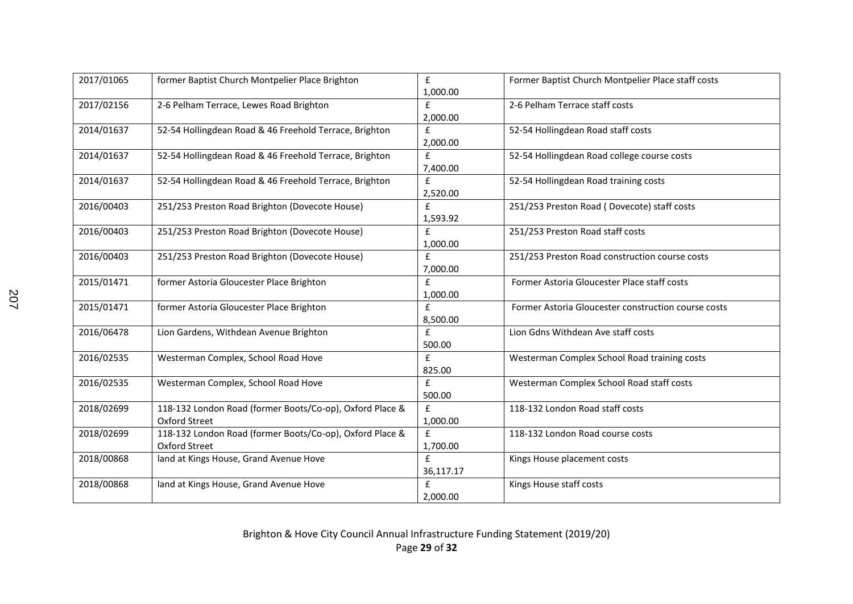| 2017/01065 | former Baptist Church Montpelier Place Brighton                                  | £<br>1,000.00                  | Former Baptist Church Montpelier Place staff costs  |
|------------|----------------------------------------------------------------------------------|--------------------------------|-----------------------------------------------------|
| 2017/02156 | 2-6 Pelham Terrace, Lewes Road Brighton                                          | $\mathbf{f}$<br>2,000.00       | 2-6 Pelham Terrace staff costs                      |
| 2014/01637 | 52-54 Hollingdean Road & 46 Freehold Terrace, Brighton                           | $\pmb{\mathsf{f}}$<br>2,000.00 | 52-54 Hollingdean Road staff costs                  |
| 2014/01637 | 52-54 Hollingdean Road & 46 Freehold Terrace, Brighton                           | $\mathbf f$<br>7,400.00        | 52-54 Hollingdean Road college course costs         |
| 2014/01637 | 52-54 Hollingdean Road & 46 Freehold Terrace, Brighton                           | $\mathbf{f}$<br>2,520.00       | 52-54 Hollingdean Road training costs               |
| 2016/00403 | 251/253 Preston Road Brighton (Dovecote House)                                   | £<br>1,593.92                  | 251/253 Preston Road (Dovecote) staff costs         |
| 2016/00403 | 251/253 Preston Road Brighton (Dovecote House)                                   | $\mathbf{f}$<br>1,000.00       | 251/253 Preston Road staff costs                    |
| 2016/00403 | 251/253 Preston Road Brighton (Dovecote House)                                   | $\pmb{\mathsf{f}}$<br>7,000.00 | 251/253 Preston Road construction course costs      |
| 2015/01471 | former Astoria Gloucester Place Brighton                                         | £<br>1,000.00                  | Former Astoria Gloucester Place staff costs         |
| 2015/01471 | former Astoria Gloucester Place Brighton                                         | $\mathbf{f}$<br>8,500.00       | Former Astoria Gloucester construction course costs |
| 2016/06478 | Lion Gardens, Withdean Avenue Brighton                                           | £<br>500.00                    | Lion Gdns Withdean Ave staff costs                  |
| 2016/02535 | Westerman Complex, School Road Hove                                              | £<br>825.00                    | Westerman Complex School Road training costs        |
| 2016/02535 | Westerman Complex, School Road Hove                                              | $\pmb{\mathsf{f}}$<br>500.00   | Westerman Complex School Road staff costs           |
| 2018/02699 | 118-132 London Road (former Boots/Co-op), Oxford Place &<br><b>Oxford Street</b> | f<br>1,000.00                  | 118-132 London Road staff costs                     |
| 2018/02699 | 118-132 London Road (former Boots/Co-op), Oxford Place &<br><b>Oxford Street</b> | $\mathbf{f}$<br>1,700.00       | 118-132 London Road course costs                    |
| 2018/00868 | land at Kings House, Grand Avenue Hove                                           | £<br>36,117.17                 | Kings House placement costs                         |
| 2018/00868 | land at Kings House, Grand Avenue Hove                                           | £<br>2,000.00                  | Kings House staff costs                             |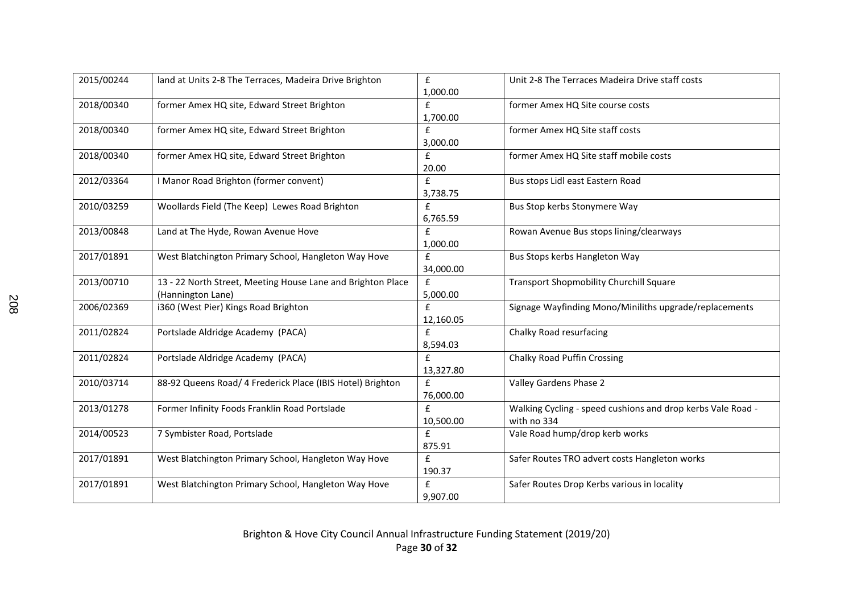| 2015/00244 | land at Units 2-8 The Terraces, Madeira Drive Brighton                           | £<br>1,000.00               | Unit 2-8 The Terraces Madeira Drive staff costs                            |
|------------|----------------------------------------------------------------------------------|-----------------------------|----------------------------------------------------------------------------|
| 2018/00340 | former Amex HQ site, Edward Street Brighton                                      | $\mathbf{f}$<br>1,700.00    | former Amex HQ Site course costs                                           |
| 2018/00340 | former Amex HQ site, Edward Street Brighton                                      | £<br>3,000.00               | former Amex HQ Site staff costs                                            |
| 2018/00340 | former Amex HQ site, Edward Street Brighton                                      | $\pmb{\mathsf{f}}$<br>20.00 | former Amex HQ Site staff mobile costs                                     |
| 2012/03364 | I Manor Road Brighton (former convent)                                           | $\mathbf{f}$<br>3,738.75    | Bus stops Lidl east Eastern Road                                           |
| 2010/03259 | Woollards Field (The Keep) Lewes Road Brighton                                   | £<br>6,765.59               | Bus Stop kerbs Stonymere Way                                               |
| 2013/00848 | Land at The Hyde, Rowan Avenue Hove                                              | $\mathbf{f}$<br>1,000.00    | Rowan Avenue Bus stops lining/clearways                                    |
| 2017/01891 | West Blatchington Primary School, Hangleton Way Hove                             | f<br>34,000.00              | Bus Stops kerbs Hangleton Way                                              |
| 2013/00710 | 13 - 22 North Street, Meeting House Lane and Brighton Place<br>(Hannington Lane) | £<br>5,000.00               | Transport Shopmobility Churchill Square                                    |
| 2006/02369 | i360 (West Pier) Kings Road Brighton                                             | $\mathbf{f}$<br>12,160.05   | Signage Wayfinding Mono/Miniliths upgrade/replacements                     |
| 2011/02824 | Portslade Aldridge Academy (PACA)                                                | £<br>8,594.03               | Chalky Road resurfacing                                                    |
| 2011/02824 | Portslade Aldridge Academy (PACA)                                                | $\mathbf{f}$<br>13,327.80   | <b>Chalky Road Puffin Crossing</b>                                         |
| 2010/03714 | 88-92 Queens Road/ 4 Frederick Place (IBIS Hotel) Brighton                       | $\mathbf{f}$<br>76,000.00   | Valley Gardens Phase 2                                                     |
| 2013/01278 | Former Infinity Foods Franklin Road Portslade                                    | £<br>10,500.00              | Walking Cycling - speed cushions and drop kerbs Vale Road -<br>with no 334 |
| 2014/00523 | 7 Symbister Road, Portslade                                                      | $\mathbf{f}$<br>875.91      | Vale Road hump/drop kerb works                                             |
| 2017/01891 | West Blatchington Primary School, Hangleton Way Hove                             | £<br>190.37                 | Safer Routes TRO advert costs Hangleton works                              |
| 2017/01891 | West Blatchington Primary School, Hangleton Way Hove                             | $\mathbf{f}$<br>9,907.00    | Safer Routes Drop Kerbs various in locality                                |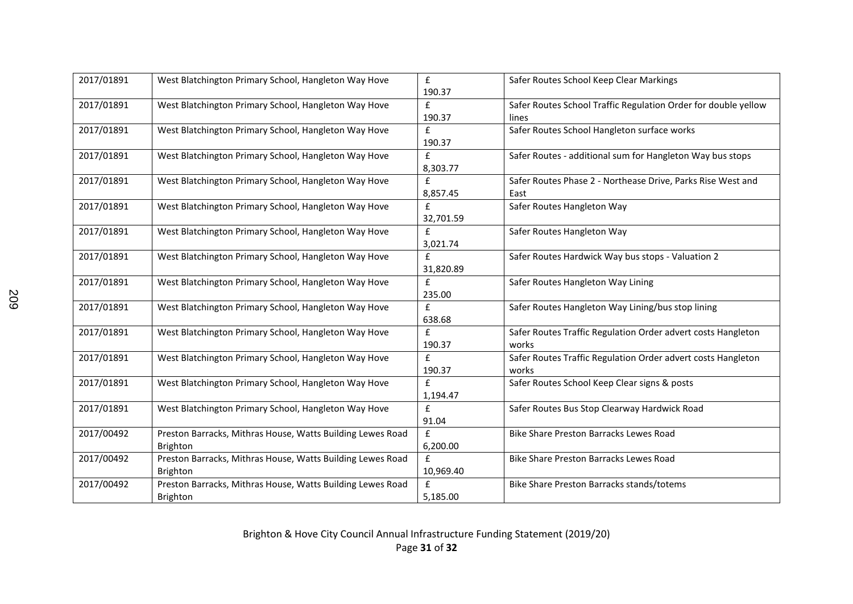| 2017/01891 | West Blatchington Primary School, Hangleton Way Hove                          | £<br>190.37              | Safer Routes School Keep Clear Markings                                 |
|------------|-------------------------------------------------------------------------------|--------------------------|-------------------------------------------------------------------------|
| 2017/01891 | West Blatchington Primary School, Hangleton Way Hove                          | $\mathbf{f}$<br>190.37   | Safer Routes School Traffic Regulation Order for double yellow<br>lines |
| 2017/01891 | West Blatchington Primary School, Hangleton Way Hove                          | $\mathbf f$<br>190.37    | Safer Routes School Hangleton surface works                             |
| 2017/01891 | West Blatchington Primary School, Hangleton Way Hove                          | £<br>8,303.77            | Safer Routes - additional sum for Hangleton Way bus stops               |
| 2017/01891 | West Blatchington Primary School, Hangleton Way Hove                          | $\mathbf{f}$<br>8,857.45 | Safer Routes Phase 2 - Northease Drive, Parks Rise West and<br>East     |
| 2017/01891 | West Blatchington Primary School, Hangleton Way Hove                          | £<br>32,701.59           | Safer Routes Hangleton Way                                              |
| 2017/01891 | West Blatchington Primary School, Hangleton Way Hove                          | $\mathbf{f}$<br>3,021.74 | Safer Routes Hangleton Way                                              |
| 2017/01891 | West Blatchington Primary School, Hangleton Way Hove                          | f<br>31,820.89           | Safer Routes Hardwick Way bus stops - Valuation 2                       |
| 2017/01891 | West Blatchington Primary School, Hangleton Way Hove                          | $\mathbf f$<br>235.00    | Safer Routes Hangleton Way Lining                                       |
| 2017/01891 | West Blatchington Primary School, Hangleton Way Hove                          | $\mathbf{f}$<br>638.68   | Safer Routes Hangleton Way Lining/bus stop lining                       |
| 2017/01891 | West Blatchington Primary School, Hangleton Way Hove                          | $\mathbf{f}$<br>190.37   | Safer Routes Traffic Regulation Order advert costs Hangleton<br>works   |
| 2017/01891 | West Blatchington Primary School, Hangleton Way Hove                          | $\mathbf{f}$<br>190.37   | Safer Routes Traffic Regulation Order advert costs Hangleton<br>works   |
| 2017/01891 | West Blatchington Primary School, Hangleton Way Hove                          | $\mathbf{f}$<br>1,194.47 | Safer Routes School Keep Clear signs & posts                            |
| 2017/01891 | West Blatchington Primary School, Hangleton Way Hove                          | £<br>91.04               | Safer Routes Bus Stop Clearway Hardwick Road                            |
| 2017/00492 | Preston Barracks, Mithras House, Watts Building Lewes Road<br><b>Brighton</b> | f<br>6,200.00            | <b>Bike Share Preston Barracks Lewes Road</b>                           |
| 2017/00492 | Preston Barracks, Mithras House, Watts Building Lewes Road<br><b>Brighton</b> | £<br>10,969.40           | <b>Bike Share Preston Barracks Lewes Road</b>                           |
| 2017/00492 | Preston Barracks, Mithras House, Watts Building Lewes Road<br>Brighton        | $\mathbf{f}$<br>5,185.00 | Bike Share Preston Barracks stands/totems                               |